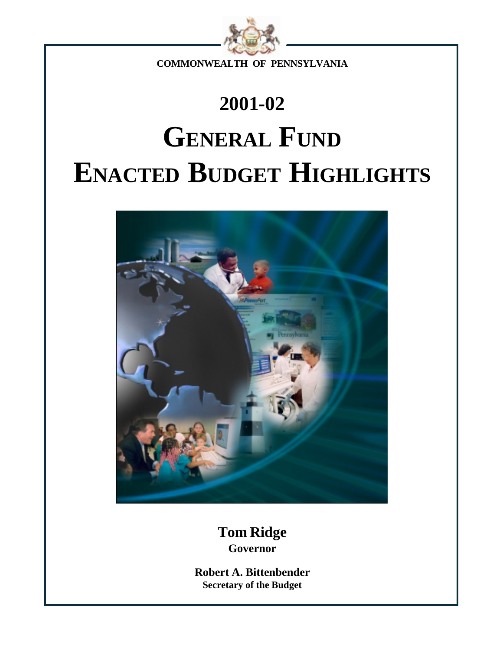

**COMMONWEALTH OF PENNSYLVANIA**

# **2001-02 GENERAL FUND ENACTED BUDGET HIGHLIGHTS**



**Tom Ridge Governor**

**Robert A. Bittenbender Secretary of the Budget**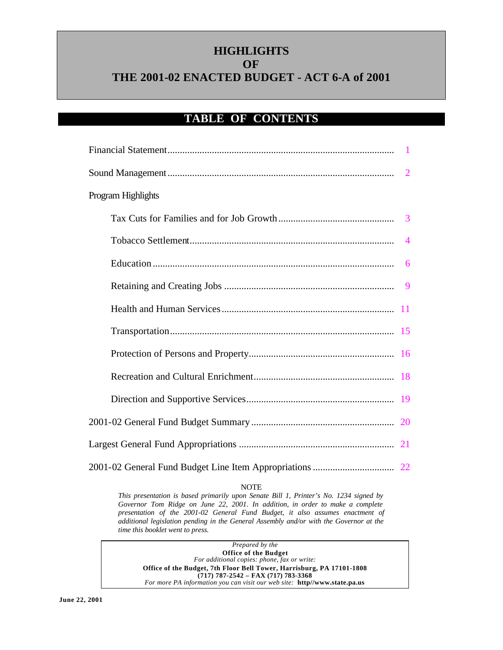# **HIGHLIGHTS OF THE 2001-02 ENACTED BUDGET - ACT 6-A of 2001**

### **TABLE OF CONTENTS**

| Program Highlights |  |
|--------------------|--|
|                    |  |
|                    |  |
|                    |  |
|                    |  |
|                    |  |
|                    |  |
|                    |  |
|                    |  |
|                    |  |
|                    |  |
|                    |  |
|                    |  |

#### NOTE

*This presentation is based primarily upon Senate Bill 1, Printer's No. 1234 signed by Governor Tom Ridge on June 22, 2001. In addition, in order to make a complete presentation of the 2001-02 General Fund Budget, it also assumes enactment of additional legislation pending in the General Assembly and/or with the Governor at the time this booklet went to press.*

*Prepared by the* **Office of the Budget** *For additional copies: phone, fax or write:* **Office of the Budget, 7th Floor Bell Tower, Harrisburg, PA 17101-1808 (717) 787-2542 – FAX (717) 783-3368** *For more PA information you can visit our web site:* **http//www.state.pa.us**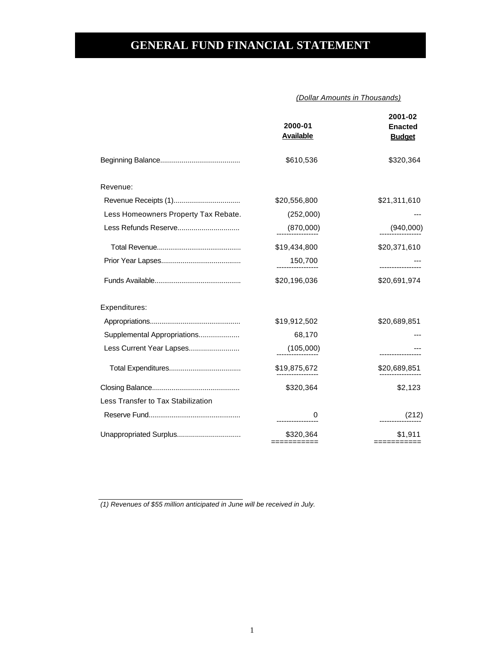# <span id="page-2-0"></span>**GENERAL FUND FINANCIAL STATEMENT**

 *(Dollar Amounts in Thousands)*

| \$610,536<br>Revenue:<br>\$20,556,800<br>Less Homeowners Property Tax Rebate.<br>(252,000)<br>Less Refunds Reserve<br>(870,000)<br>\$19,434,800<br>150,700<br>\$20,196,036<br>Expenditures:<br>\$19,912,502<br>Supplemental Appropriations<br>68,170<br>Less Current Year Lapses<br>(105,000)<br>\$19,875,672<br>\$320,364<br>Less Transfer to Tax Stabilization<br>0 | 2000-01<br><b>Available</b> | 2001-02<br><b>Enacted</b><br><b>Budget</b> |
|-----------------------------------------------------------------------------------------------------------------------------------------------------------------------------------------------------------------------------------------------------------------------------------------------------------------------------------------------------------------------|-----------------------------|--------------------------------------------|
|                                                                                                                                                                                                                                                                                                                                                                       |                             | \$320,364                                  |
|                                                                                                                                                                                                                                                                                                                                                                       |                             |                                            |
|                                                                                                                                                                                                                                                                                                                                                                       |                             | \$21,311,610                               |
|                                                                                                                                                                                                                                                                                                                                                                       |                             |                                            |
|                                                                                                                                                                                                                                                                                                                                                                       |                             | (940,000)                                  |
|                                                                                                                                                                                                                                                                                                                                                                       |                             | \$20,371,610                               |
|                                                                                                                                                                                                                                                                                                                                                                       |                             |                                            |
|                                                                                                                                                                                                                                                                                                                                                                       |                             | \$20,691,974                               |
|                                                                                                                                                                                                                                                                                                                                                                       |                             |                                            |
|                                                                                                                                                                                                                                                                                                                                                                       |                             | \$20,689,851                               |
|                                                                                                                                                                                                                                                                                                                                                                       |                             |                                            |
|                                                                                                                                                                                                                                                                                                                                                                       |                             |                                            |
|                                                                                                                                                                                                                                                                                                                                                                       |                             | \$20,689,851                               |
|                                                                                                                                                                                                                                                                                                                                                                       |                             | \$2,123                                    |
|                                                                                                                                                                                                                                                                                                                                                                       |                             |                                            |
|                                                                                                                                                                                                                                                                                                                                                                       |                             | (212)                                      |
| Unappropriated Surplus<br>\$320,364<br>------------                                                                                                                                                                                                                                                                                                                   |                             | \$1,911<br>:==========                     |

*(1) Revenues of \$55 million anticipated in June will be received in July.*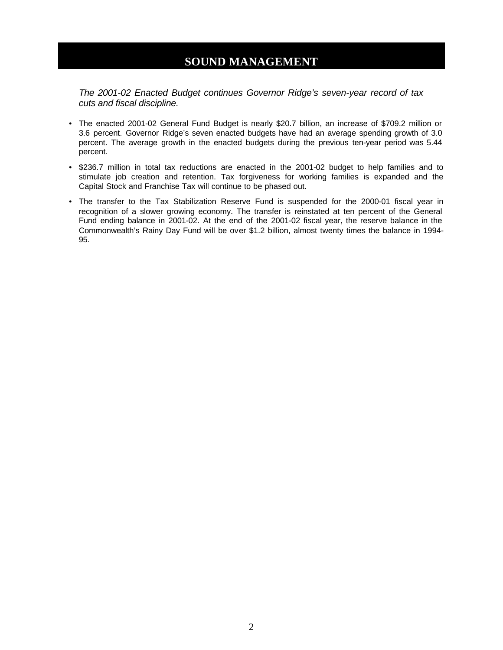### **SOUND MANAGEMENT**

<span id="page-3-0"></span>*The 2001-02 Enacted Budget continues Governor Ridge's seven-year record of tax cuts and fiscal discipline.*

- The enacted 2001-02 General Fund Budget is nearly \$20.7 billion, an increase of \$709.2 million or 3.6 percent. Governor Ridge's seven enacted budgets have had an average spending growth of 3.0 percent. The average growth in the enacted budgets during the previous ten-year period was 5.44 percent.
- \$236.7 million in total tax reductions are enacted in the 2001-02 budget to help families and to stimulate job creation and retention. Tax forgiveness for working families is expanded and the Capital Stock and Franchise Tax will continue to be phased out.
- The transfer to the Tax Stabilization Reserve Fund is suspended for the 2000-01 fiscal year in recognition of a slower growing economy. The transfer is reinstated at ten percent of the General Fund ending balance in 2001-02. At the end of the 2001-02 fiscal year, the reserve balance in the Commonwealth's Rainy Day Fund will be over \$1.2 billion, almost twenty times the balance in 1994- 95.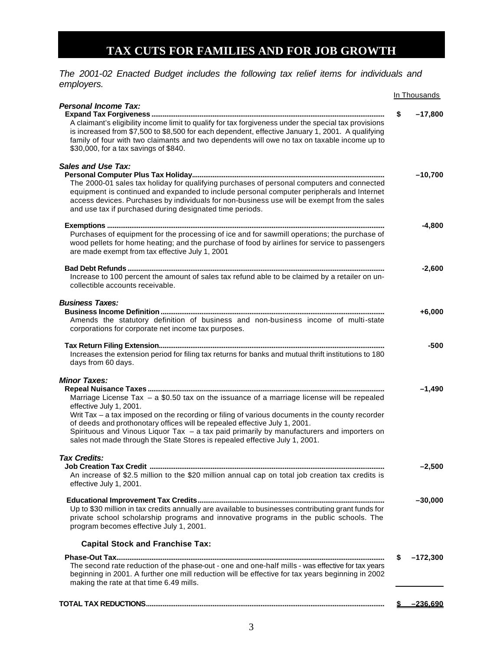# **TAX CUTS FOR FAMILIES AND FOR JOB GROWTH**

<span id="page-4-0"></span>*The 2001-02 Enacted Budget includes the following tax relief items for individuals and employers.* 

|                                                                                                                                                                                                                                                                                                                                                                                                                                                                                                           | In Thousands     |
|-----------------------------------------------------------------------------------------------------------------------------------------------------------------------------------------------------------------------------------------------------------------------------------------------------------------------------------------------------------------------------------------------------------------------------------------------------------------------------------------------------------|------------------|
| <b>Personal Income Tax:</b>                                                                                                                                                                                                                                                                                                                                                                                                                                                                               |                  |
| A claimant's eligibility income limit to qualify for tax forgiveness under the special tax provisions<br>is increased from \$7,500 to \$8,500 for each dependent, effective January 1, 2001. A qualifying<br>family of four with two claimants and two dependents will owe no tax on taxable income up to<br>\$30,000, for a tax savings of \$840.                                                                                                                                                        | \$<br>$-17,800$  |
| <b>Sales and Use Tax:</b>                                                                                                                                                                                                                                                                                                                                                                                                                                                                                 | $-10,700$        |
| The 2000-01 sales tax holiday for qualifying purchases of personal computers and connected<br>equipment is continued and expanded to include personal computer peripherals and Internet<br>access devices. Purchases by individuals for non-business use will be exempt from the sales<br>and use tax if purchased during designated time periods.                                                                                                                                                        |                  |
|                                                                                                                                                                                                                                                                                                                                                                                                                                                                                                           | $-4,800$         |
| Purchases of equipment for the processing of ice and for sawmill operations; the purchase of<br>wood pellets for home heating; and the purchase of food by airlines for service to passengers<br>are made exempt from tax effective July 1, 2001                                                                                                                                                                                                                                                          |                  |
| Increase to 100 percent the amount of sales tax refund able to be claimed by a retailer on un-<br>collectible accounts receivable.                                                                                                                                                                                                                                                                                                                                                                        | $-2,600$         |
| <b>Business Taxes:</b><br>Amends the statutory definition of business and non-business income of multi-state                                                                                                                                                                                                                                                                                                                                                                                              | $+6,000$         |
| corporations for corporate net income tax purposes.                                                                                                                                                                                                                                                                                                                                                                                                                                                       |                  |
| Increases the extension period for filing tax returns for banks and mutual thrift institutions to 180<br>days from 60 days.                                                                                                                                                                                                                                                                                                                                                                               | -500             |
| <b>Minor Taxes:</b><br>Marriage License Tax - a \$0.50 tax on the issuance of a marriage license will be repealed<br>effective July 1, 2001.<br>Writ Tax - a tax imposed on the recording or filing of various documents in the county recorder<br>of deeds and prothonotary offices will be repealed effective July 1, 2001.<br>Spirituous and Vinous Liquor Tax - a tax paid primarily by manufacturers and importers on<br>sales not made through the State Stores is repealed effective July 1, 2001. | $-1,490$         |
| Tax Credits:                                                                                                                                                                                                                                                                                                                                                                                                                                                                                              |                  |
| An increase of \$2.5 million to the \$20 million annual cap on total job creation tax credits is<br>effective July 1, 2001.                                                                                                                                                                                                                                                                                                                                                                               | $-2,500$         |
| Up to \$30 million in tax credits annually are available to businesses contributing grant funds for<br>private school scholarship programs and innovative programs in the public schools. The<br>program becomes effective July 1, 2001.                                                                                                                                                                                                                                                                  | $-30,000$        |
| <b>Capital Stock and Franchise Tax:</b>                                                                                                                                                                                                                                                                                                                                                                                                                                                                   |                  |
|                                                                                                                                                                                                                                                                                                                                                                                                                                                                                                           | \$<br>$-172,300$ |
| The second rate reduction of the phase-out - one and one-half mills - was effective for tax years<br>beginning in 2001. A further one mill reduction will be effective for tax years beginning in 2002<br>making the rate at that time 6.49 mills.                                                                                                                                                                                                                                                        |                  |
|                                                                                                                                                                                                                                                                                                                                                                                                                                                                                                           | <u>–236.690</u>  |
|                                                                                                                                                                                                                                                                                                                                                                                                                                                                                                           |                  |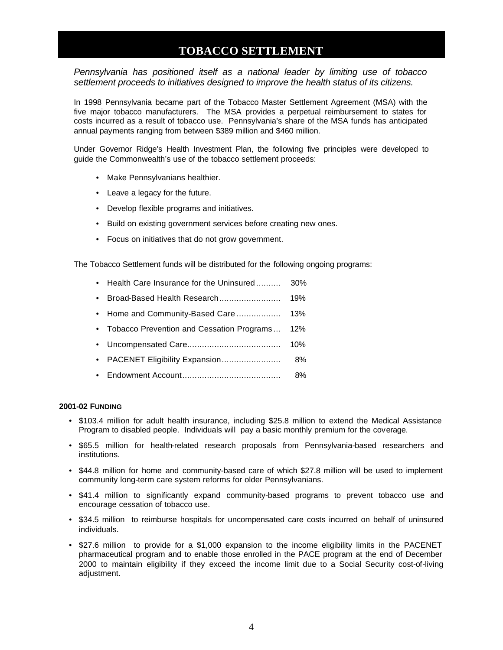### **TOBACCO SETTLEMENT**

<span id="page-5-0"></span>*Pennsylvania has positioned itself as a national leader by limiting use of tobacco settlement proceeds to initiatives designed to improve the health status of its citizens.* 

In 1998 Pennsylvania became part of the Tobacco Master Settlement Agreement (MSA) with the five major tobacco manufacturers. The MSA provides a perpetual reimbursement to states for costs incurred as a result of tobacco use. Pennsylvania's share of the MSA funds has anticipated annual payments ranging from between \$389 million and \$460 million.

Under Governor Ridge's Health Investment Plan, the following five principles were developed to guide the Commonwealth's use of the tobacco settlement proceeds:

- Make Pennsylvanians healthier.
- Leave a legacy for the future.
- Develop flexible programs and initiatives.
- Build on existing government services before creating new ones.
- Focus on initiatives that do not grow government.

The Tobacco Settlement funds will be distributed for the following ongoing programs:

- Health Care Insurance for the Uninsured .......... 30%
- Broad-Based Health Research......................... 19%
- Home and Community-Based Care .................. 13%
- Tobacco Prevention and Cessation Programs ... 12%
- Uncompensated Care...................................... 10%
- PACENET Eligibility Expansion........................ 8%
- Endowment Account........................................ 8%

#### **2001-02 FUNDING**

- \$103.4 million for adult health insurance, including \$25.8 million to extend the Medical Assistance Program to disabled people. Individuals will pay a basic monthly premium for the coverage.
- \$65.5 million for health-related research proposals from Pennsylvania-based researchers and institutions.
- \$44.8 million for home and community-based care of which \$27.8 million will be used to implement community long-term care system reforms for older Pennsylvanians.
- \$41.4 million to significantly expand community-based programs to prevent tobacco use and encourage cessation of tobacco use.
- \$34.5 million to reimburse hospitals for uncompensated care costs incurred on behalf of uninsured individuals.
- \$27.6 million to provide for a \$1,000 expansion to the income eligibility limits in the PACENET pharmaceutical program and to enable those enrolled in the PACE program at the end of December 2000 to maintain eligibility if they exceed the income limit due to a Social Security cost-of-living adjustment.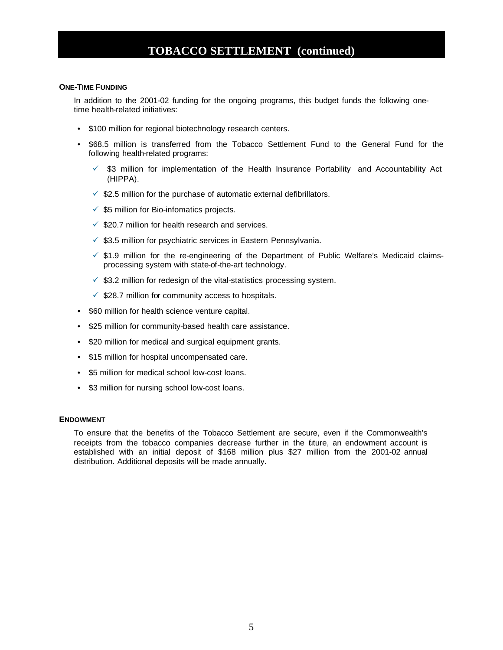### **TOBACCO SETTLEMENT (continued)**

#### **ONE-TIME FUNDING**

In addition to the 2001-02 funding for the ongoing programs, this budget funds the following onetime health-related initiatives:

- \$100 million for regional biotechnology research centers.
- \$68.5 million is transferred from the Tobacco Settlement Fund to the General Fund for the following health-related programs:
	- $\checkmark$  \$3 million for implementation of the Health Insurance Portability and Accountability Act (HIPPA).
	- $\checkmark$  \$2.5 million for the purchase of automatic external defibrillators.
	- $\checkmark$  \$5 million for Bio-infomatics projects.
	- $\checkmark$  \$20.7 million for health research and services.
	- $\checkmark$  \$3.5 million for psychiatric services in Eastern Pennsylvania.
	- $\checkmark$  \$1.9 million for the re-engineering of the Department of Public Welfare's Medicaid claimsprocessing system with state-of-the-art technology.
	- $\checkmark$  \$3.2 million for redesign of the vital-statistics processing system.
	- $\checkmark$  \$28.7 million for community access to hospitals.
- \$60 million for health science venture capital.
- \$25 million for community-based health care assistance.
- \$20 million for medical and surgical equipment grants.
- \$15 million for hospital uncompensated care.
- \$5 million for medical school low-cost loans.
- \$3 million for nursing school low-cost loans.

#### **ENDOWMENT**

To ensure that the benefits of the Tobacco Settlement are secure, even if the Commonwealth's receipts from the tobacco companies decrease further in the future, an endowment account is established with an initial deposit of \$168 million plus \$27 million from the 2001-02 annual distribution. Additional deposits will be made annually.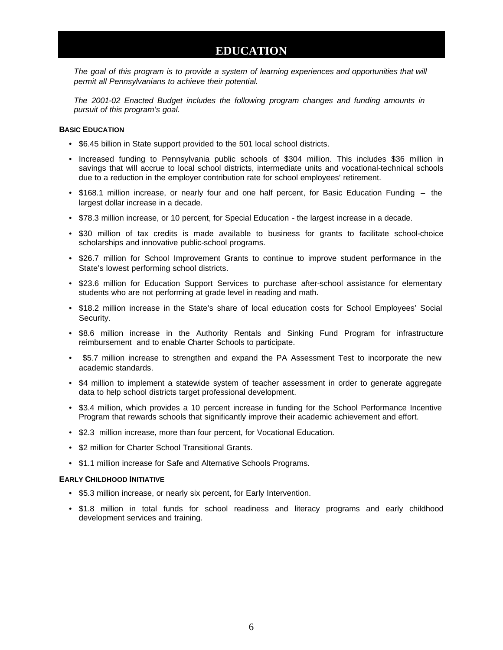### **EDUCATION**

<span id="page-7-0"></span>The goal of this program is to provide a system of learning experiences and opportunities that will *permit all Pennsylvanians to achieve their potential.*

*The 2001-02 Enacted Budget includes the following program changes and funding amounts in pursuit of this program's goal.*

#### **BASIC EDUCATION**

- \$6.45 billion in State support provided to the 501 local school districts.
- Increased funding to Pennsylvania public schools of \$304 million. This includes \$36 million in savings that will accrue to local school districts, intermediate units and vocational-technical schools due to a reduction in the employer contribution rate for school employees' retirement.
- \$168.1 million increase, or nearly four and one half percent, for Basic Education Funding the largest dollar increase in a decade.
- \$78.3 million increase, or 10 percent, for Special Education the largest increase in a decade.
- \$30 million of tax credits is made available to business for grants to facilitate school-choice scholarships and innovative public-school programs.
- \$26.7 million for School Improvement Grants to continue to improve student performance in the State's lowest performing school districts.
- \$23.6 million for Education Support Services to purchase after-school assistance for elementary students who are not performing at grade level in reading and math.
- \$18.2 million increase in the State's share of local education costs for School Employees' Social Security.
- \$8.6 million increase in the Authority Rentals and Sinking Fund Program for infrastructure reimbursement and to enable Charter Schools to participate.
- \$5.7 million increase to strengthen and expand the PA Assessment Test to incorporate the new academic standards.
- \$4 million to implement a statewide system of teacher assessment in order to generate aggregate data to help school districts target professional development.
- \$3.4 million, which provides a 10 percent increase in funding for the School Performance Incentive Program that rewards schools that significantly improve their academic achievement and effort.
- \$2.3 million increase, more than four percent, for Vocational Education.
- \$2 million for Charter School Transitional Grants.
- \$1.1 million increase for Safe and Alternative Schools Programs.

#### **EARLY CHILDHOOD INITIATIVE**

- \$5.3 million increase, or nearly six percent, for Early Intervention.
- \$1.8 million in total funds for school readiness and literacy programs and early childhood development services and training.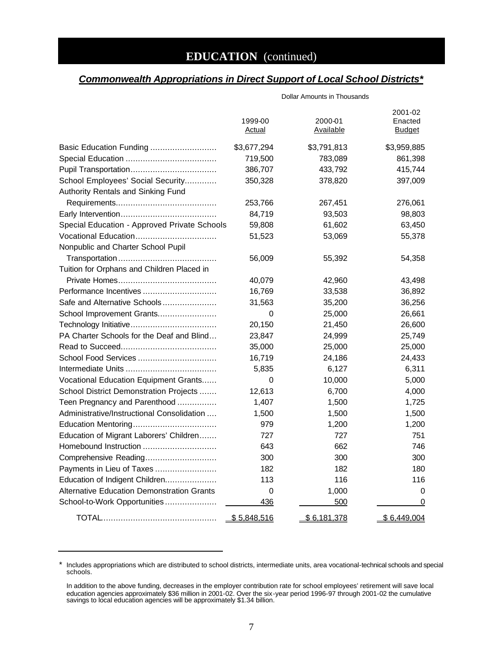# **EDUCATION** (continued)

### *Commonwealth Appropriations in Direct Support of Local School Districts\**

|                                                   | 1999-00<br><b>Actual</b> | 2000-01<br>Available | 2001-02<br>Enacted<br><b>Budget</b> |
|---------------------------------------------------|--------------------------|----------------------|-------------------------------------|
| Basic Education Funding                           | \$3,677,294              | \$3,791,813          | \$3,959,885                         |
|                                                   | 719,500                  | 783,089              | 861,398                             |
|                                                   | 386,707                  | 433,792              | 415,744                             |
| School Employees' Social Security                 | 350,328                  | 378,820              | 397,009                             |
| Authority Rentals and Sinking Fund                |                          |                      |                                     |
|                                                   | 253,766                  | 267,451              | 276,061                             |
|                                                   | 84,719                   | 93,503               | 98,803                              |
| Special Education - Approved Private Schools      | 59,808                   | 61,602               | 63,450                              |
| Vocational Education                              | 51,523                   | 53,069               | 55,378                              |
| Nonpublic and Charter School Pupil                |                          |                      |                                     |
|                                                   | 56,009                   | 55,392               | 54,358                              |
| Tuition for Orphans and Children Placed in        |                          |                      |                                     |
|                                                   | 40,079                   | 42,960               | 43,498                              |
| Performance Incentives                            | 16,769                   | 33,538               | 36,892                              |
| Safe and Alternative Schools                      | 31,563                   | 35,200               | 36,256                              |
| School Improvement Grants                         | 0                        | 25,000               | 26,661                              |
|                                                   | 20,150                   | 21,450               | 26,600                              |
| PA Charter Schools for the Deaf and Blind         | 23,847                   | 24,999               | 25,749                              |
|                                                   | 35,000                   | 25,000               | 25,000                              |
| School Food Services                              | 16,719                   | 24,186               | 24,433                              |
|                                                   | 5,835                    | 6,127                | 6,311                               |
| Vocational Education Equipment Grants             | 0                        | 10,000               | 5,000                               |
| School District Demonstration Projects            | 12,613                   | 6,700                | 4,000                               |
| Teen Pregnancy and Parenthood                     | 1,407                    | 1,500                | 1,725                               |
| Administrative/Instructional Consolidation        | 1,500                    | 1,500                | 1,500                               |
|                                                   | 979                      | 1,200                | 1,200                               |
| Education of Migrant Laborers' Children           | 727                      | 727                  | 751                                 |
| Homebound Instruction                             | 643                      | 662                  | 746                                 |
| Comprehensive Reading                             | 300                      | 300                  | 300                                 |
| Payments in Lieu of Taxes                         | 182                      | 182                  | 180                                 |
| Education of Indigent Children                    | 113                      | 116                  | 116                                 |
| <b>Alternative Education Demonstration Grants</b> | 0                        | 1,000                | 0                                   |
| School-to-Work Opportunities                      | 436                      | 500                  | 0                                   |
|                                                   | \$5,848,516              | \$6,181,378          | \$6,449,004                         |

<sup>\*</sup> Includes appropriations which are distributed to school districts, intermediate units, area vocational-technical schools and special schools.

In addition to the above funding, decreases in the employer contribution rate for school employees' retirement will save local education agencies approximately \$36 million in 2001-02. Over the six-year period 1996-97 through 2001-02 the cumulative savings to local education agencies will be approximately \$1.34 billion.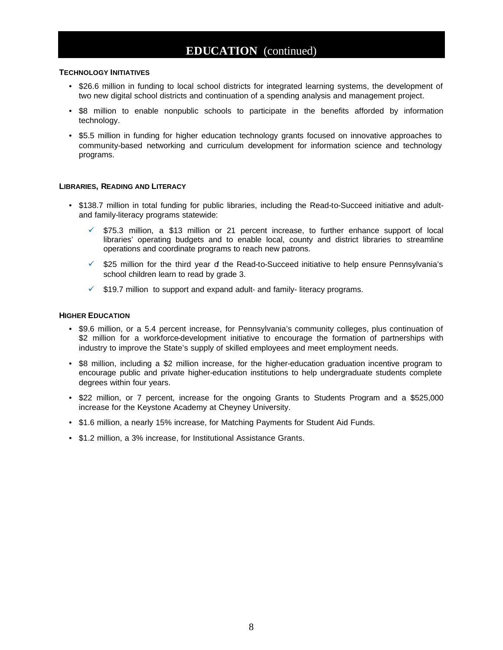### **EDUCATION** (continued)

#### **TECHNOLOGY INITIATIVES**

- \$26.6 million in funding to local school districts for integrated learning systems, the development of two new digital school districts and continuation of a spending analysis and management project.
- \$8 million to enable nonpublic schools to participate in the benefits afforded by information technology.
- \$5.5 million in funding for higher education technology grants focused on innovative approaches to community-based networking and curriculum development for information science and technology programs.

#### **LIBRARIES, READING AND LITERACY**

- \$138.7 million in total funding for public libraries, including the Read-to-Succeed initiative and adultand family-literacy programs statewide:
	- $\checkmark$  \$75.3 million, a \$13 million or 21 percent increase, to further enhance support of local libraries' operating budgets and to enable local, county and district libraries to streamline operations and coordinate programs to reach new patrons.
	- $\checkmark$  \$25 million for the third year of the Read-to-Succeed initiative to help ensure Pennsylvania's school children learn to read by grade 3.
	- $\checkmark$  \$19.7 million to support and expand adult- and family- literacy programs.

#### **HIGHER EDUCATION**

- \$9.6 million, or a 5.4 percent increase, for Pennsylvania's community colleges, plus continuation of \$2 million for a workforce-development initiative to encourage the formation of partnerships with industry to improve the State's supply of skilled employees and meet employment needs.
- \$8 million, including a \$2 million increase, for the higher-education graduation incentive program to encourage public and private higher-education institutions to help undergraduate students complete degrees within four years.
- \$22 million, or 7 percent, increase for the ongoing Grants to Students Program and a \$525,000 increase for the Keystone Academy at Cheyney University.
- \$1.6 million, a nearly 15% increase, for Matching Payments for Student Aid Funds.
- \$1.2 million, a 3% increase, for Institutional Assistance Grants.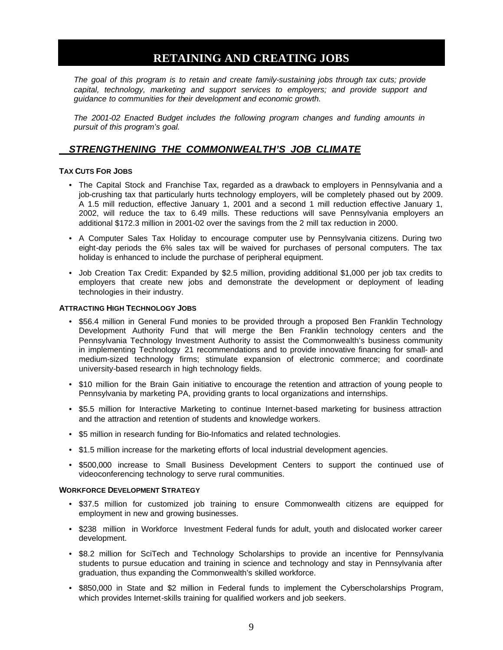### **RETAINING AND CREATING JOBS**

<span id="page-10-0"></span>*The goal of this program is to retain and create family-sustaining jobs through tax cuts; provide capital, technology, marketing and support services to employers; and provide support and guidance to communities for their development and economic growth.*

*The 2001-02 Enacted Budget includes the following program changes and funding amounts in pursuit of this program's goal.*

### *STRENGTHENING THE COMMONWEALTH'S JOB CLIMATE*

#### **TAX CUTS FOR JOBS**

- The Capital Stock and Franchise Tax, regarded as a drawback to employers in Pennsylvania and a job-crushing tax that particularly hurts technology employers, will be completely phased out by 2009. A 1.5 mill reduction, effective January 1, 2001 and a second 1 mill reduction effective January 1, 2002, will reduce the tax to 6.49 mills. These reductions will save Pennsylvania employers an additional \$172.3 million in 2001-02 over the savings from the 2 mill tax reduction in 2000.
- A Computer Sales Tax Holiday to encourage computer use by Pennsylvania citizens. During two eight-day periods the 6% sales tax will be waived for purchases of personal computers. The tax holiday is enhanced to include the purchase of peripheral equipment.
- Job Creation Tax Credit: Expanded by \$2.5 million, providing additional \$1,000 per job tax credits to employers that create new jobs and demonstrate the development or deployment of leading technologies in their industry.

#### **ATTRACTING HIGH TECHNOLOGY JOBS**

- \$56.4 million in General Fund monies to be provided through a proposed Ben Franklin Technology Development Authority Fund that will merge the Ben Franklin technology centers and the Pennsylvania Technology Investment Authority to assist the Commonwealth's business community in implementing Technology 21 recommendations and to provide innovative financing for small- and medium-sized technology firms; stimulate expansion of electronic commerce; and coordinate university-based research in high technology fields.
- \$10 million for the Brain Gain initiative to encourage the retention and attraction of young people to Pennsylvania by marketing PA, providing grants to local organizations and internships.
- \$5.5 million for Interactive Marketing to continue Internet-based marketing for business attraction and the attraction and retention of students and knowledge workers.
- \$5 million in research funding for Bio-Infomatics and related technologies.
- \$1.5 million increase for the marketing efforts of local industrial development agencies.
- \$500,000 increase to Small Business Development Centers to support the continued use of videoconferencing technology to serve rural communities.

#### **WORKFORCE DEVELOPMENT STRATEGY**

- \$37.5 million for customized job training to ensure Commonwealth citizens are equipped for employment in new and growing businesses.
- \$238 million in Workforce Investment Federal funds for adult, youth and dislocated worker career development.
- \$8.2 million for SciTech and Technology Scholarships to provide an incentive for Pennsylvania students to pursue education and training in science and technology and stay in Pennsylvania after graduation, thus expanding the Commonwealth's skilled workforce.
- \$850,000 in State and \$2 million in Federal funds to implement the Cyberscholarships Program, which provides Internet-skills training for qualified workers and job seekers.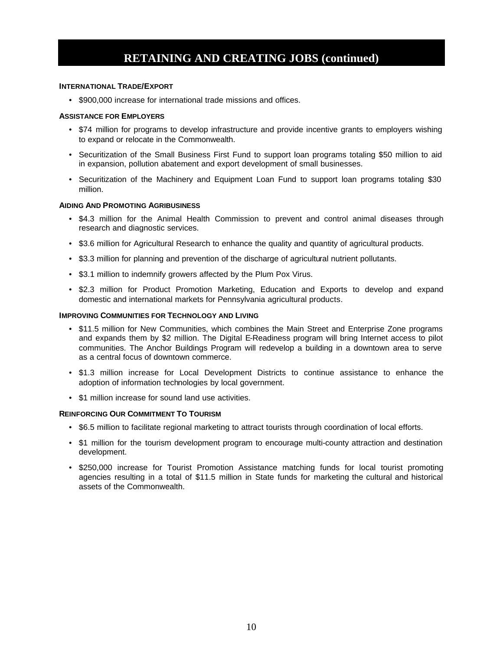## **RETAINING AND CREATING JOBS (continued)**

#### **INTERNATIONAL TRADE/EXPORT**

• \$900,000 increase for international trade missions and offices.

#### **ASSISTANCE FOR EMPLOYERS**

- \$74 million for programs to develop infrastructure and provide incentive grants to employers wishing to expand or relocate in the Commonwealth.
- Securitization of the Small Business First Fund to support loan programs totaling \$50 million to aid in expansion, pollution abatement and export development of small businesses.
- Securitization of the Machinery and Equipment Loan Fund to support loan programs totaling \$30 million.

#### **AIDING AND PROMOTING AGRIBUSINESS**

- \$4.3 million for the Animal Health Commission to prevent and control animal diseases through research and diagnostic services.
- \$3.6 million for Agricultural Research to enhance the quality and quantity of agricultural products.
- \$3.3 million for planning and prevention of the discharge of agricultural nutrient pollutants.
- \$3.1 million to indemnify growers affected by the Plum Pox Virus.
- \$2.3 million for Product Promotion Marketing, Education and Exports to develop and expand domestic and international markets for Pennsylvania agricultural products.

#### **IMPROVING COMMUNITIES FOR TECHNOLOGY AND LIVING**

- \$11.5 million for New Communities, which combines the Main Street and Enterprise Zone programs and expands them by \$2 million. The Digital E-Readiness program will bring Internet access to pilot communities. The Anchor Buildings Program will redevelop a building in a downtown area to serve as a central focus of downtown commerce.
- \$1.3 million increase for Local Development Districts to continue assistance to enhance the adoption of information technologies by local government.
- \$1 million increase for sound land use activities.

#### **REINFORCING OUR COMMITMENT TO TOURISM**

- \$6.5 million to facilitate regional marketing to attract tourists through coordination of local efforts.
- \$1 million for the tourism development program to encourage multi-county attraction and destination development.
- \$250,000 increase for Tourist Promotion Assistance matching funds for local tourist promoting agencies resulting in a total of \$11.5 million in State funds for marketing the cultural and historical assets of the Commonwealth.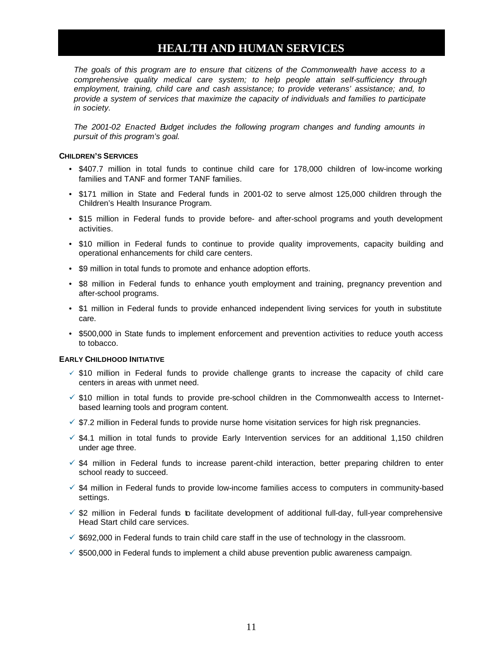## **HEALTH AND HUMAN SERVICES**

<span id="page-12-0"></span>*The goals of this program are to ensure that citizens of the Commonwealth have access to a comprehensive quality medical care system; to help people attain self-sufficiency through employment, training, child care and cash assistance; to provide veterans' assistance; and, to provide a system of services that maximize the capacity of individuals and families to participate in society.*

*The 2001-02 Enacted Budget includes the following program changes and funding amounts in pursuit of this program's goal.*

#### **CHILDREN'S SERVICES**

- \$407.7 million in total funds to continue child care for 178,000 children of low-income working families and TANF and former TANF families.
- \$171 million in State and Federal funds in 2001-02 to serve almost 125,000 children through the Children's Health Insurance Program.
- \$15 million in Federal funds to provide before- and after-school programs and youth development activities.
- \$10 million in Federal funds to continue to provide quality improvements, capacity building and operational enhancements for child care centers.
- \$9 million in total funds to promote and enhance adoption efforts.
- \$8 million in Federal funds to enhance youth employment and training, pregnancy prevention and after-school programs.
- \$1 million in Federal funds to provide enhanced independent living services for youth in substitute care.
- \$500,000 in State funds to implement enforcement and prevention activities to reduce youth access to tobacco.

#### **EARLY CHILDHOOD INITIATIVE**

- $\checkmark$  \$10 million in Federal funds to provide challenge grants to increase the capacity of child care centers in areas with unmet need.
- $\checkmark$  \$10 million in total funds to provide pre-school children in the Commonwealth access to Internetbased learning tools and program content.
- $\checkmark$  \$7.2 million in Federal funds to provide nurse home visitation services for high risk pregnancies.
- $\checkmark$  \$4.1 million in total funds to provide Early Intervention services for an additional 1,150 children under age three.
- $\checkmark$  \$4 million in Federal funds to increase parent-child interaction, better preparing children to enter school ready to succeed.
- $\checkmark$  \$4 million in Federal funds to provide low-income families access to computers in community-based settings.
- $\check{\phantom{\phi}}$  \$2 million in Federal funds to facilitate development of additional full-day, full-year comprehensive Head Start child care services.
- $\checkmark$  \$692,000 in Federal funds to train child care staff in the use of technology in the classroom.
- $\checkmark$  \$500,000 in Federal funds to implement a child abuse prevention public awareness campaign.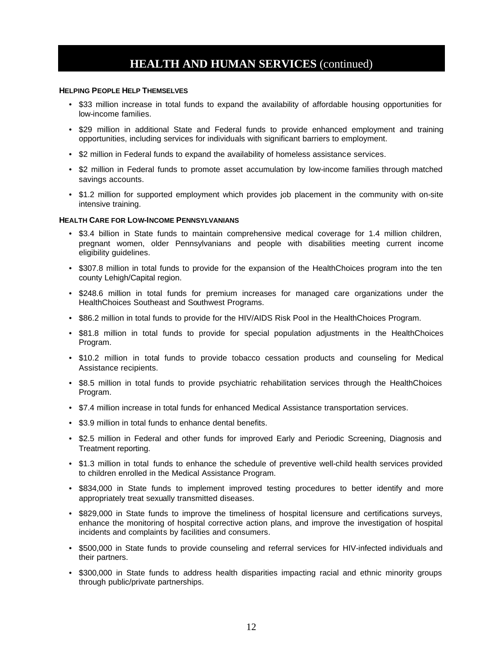### **HEALTH AND HUMAN SERVICES** (continued)

#### **HELPING PEOPLE HELP THEMSELVES**

- \$33 million increase in total funds to expand the availability of affordable housing opportunities for low-income families.
- \$29 million in additional State and Federal funds to provide enhanced employment and training opportunities, including services for individuals with significant barriers to employment.
- \$2 million in Federal funds to expand the availability of homeless assistance services.
- \$2 million in Federal funds to promote asset accumulation by low-income families through matched savings accounts.
- \$1.2 million for supported employment which provides job placement in the community with on-site intensive training.

#### **HEALTH CARE FOR LOW-INCOME PENNSYLVANIANS**

- \$3.4 billion in State funds to maintain comprehensive medical coverage for 1.4 million children, pregnant women, older Pennsylvanians and people with disabilities meeting current income eligibility guidelines.
- \$307.8 million in total funds to provide for the expansion of the HealthChoices program into the ten county Lehigh/Capital region.
- \$248.6 million in total funds for premium increases for managed care organizations under the HealthChoices Southeast and Southwest Programs.
- \$86.2 million in total funds to provide for the HIV/AIDS Risk Pool in the HealthChoices Program.
- \$81.8 million in total funds to provide for special population adjustments in the HealthChoices Program.
- \$10.2 million in total funds to provide tobacco cessation products and counseling for Medical Assistance recipients.
- \$8.5 million in total funds to provide psychiatric rehabilitation services through the HealthChoices Program.
- \$7.4 million increase in total funds for enhanced Medical Assistance transportation services.
- \$3.9 million in total funds to enhance dental benefits.
- \$2.5 million in Federal and other funds for improved Early and Periodic Screening, Diagnosis and Treatment reporting.
- \$1.3 million in total funds to enhance the schedule of preventive well-child health services provided to children enrolled in the Medical Assistance Program.
- \$834,000 in State funds to implement improved testing procedures to better identify and more appropriately treat sexually transmitted diseases.
- \$829,000 in State funds to improve the timeliness of hospital licensure and certifications surveys, enhance the monitoring of hospital corrective action plans, and improve the investigation of hospital incidents and complaints by facilities and consumers.
- \$500,000 in State funds to provide counseling and referral services for HIV-infected individuals and their partners.
- \$300,000 in State funds to address health disparities impacting racial and ethnic minority groups through public/private partnerships.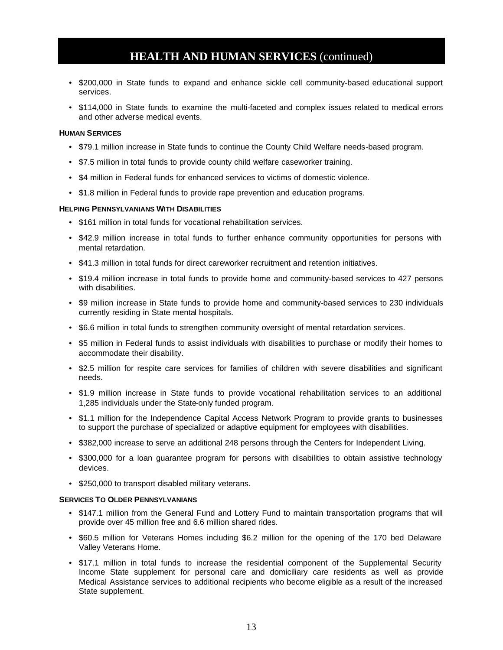### **HEALTH AND HUMAN SERVICES** (continued)

- \$200,000 in State funds to expand and enhance sickle cell community-based educational support services.
- \$114,000 in State funds to examine the multi-faceted and complex issues related to medical errors and other adverse medical events.

#### **HUMAN SERVICES**

- \$79.1 million increase in State funds to continue the County Child Welfare needs-based program.
- \$7.5 million in total funds to provide county child welfare caseworker training.
- \$4 million in Federal funds for enhanced services to victims of domestic violence.
- \$1.8 million in Federal funds to provide rape prevention and education programs.

#### **HELPING PENNSYLVANIANS WITH DISABILITIES**

- \$161 million in total funds for vocational rehabilitation services.
- \$42.9 million increase in total funds to further enhance community opportunities for persons with mental retardation.
- \$41.3 million in total funds for direct careworker recruitment and retention initiatives.
- \$19.4 million increase in total funds to provide home and community-based services to 427 persons with disabilities.
- \$9 million increase in State funds to provide home and community-based services to 230 individuals currently residing in State mental hospitals.
- \$6.6 million in total funds to strengthen community oversight of mental retardation services.
- \$5 million in Federal funds to assist individuals with disabilities to purchase or modify their homes to accommodate their disability.
- \$2.5 million for respite care services for families of children with severe disabilities and significant needs.
- \$1.9 million increase in State funds to provide vocational rehabilitation services to an additional 1,285 individuals under the State-only funded program.
- \$1.1 million for the Independence Capital Access Network Program to provide grants to businesses to support the purchase of specialized or adaptive equipment for employees with disabilities.
- \$382,000 increase to serve an additional 248 persons through the Centers for Independent Living.
- \$300,000 for a loan guarantee program for persons with disabilities to obtain assistive technology devices.
- \$250,000 to transport disabled military veterans.

#### **SERVICES TO OLDER PENNSYLVANIANS**

- \$147.1 million from the General Fund and Lottery Fund to maintain transportation programs that will provide over 45 million free and 6.6 million shared rides.
- \$60.5 million for Veterans Homes including \$6.2 million for the opening of the 170 bed Delaware Valley Veterans Home.
- \$17.1 million in total funds to increase the residential component of the Supplemental Security Income State supplement for personal care and domiciliary care residents as well as provide Medical Assistance services to additional recipients who become eligible as a result of the increased State supplement.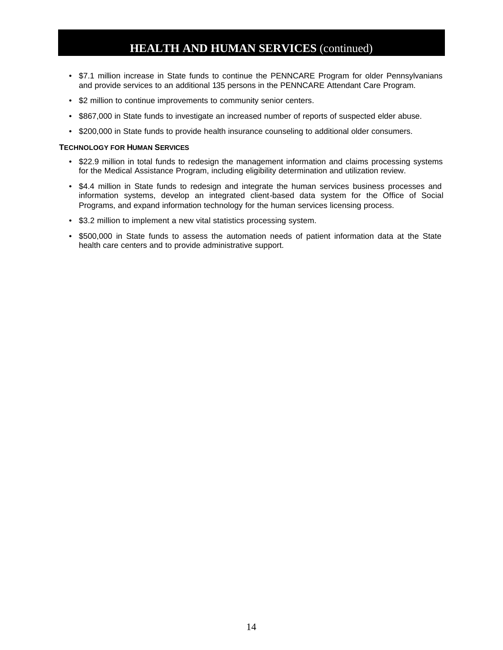## **HEALTH AND HUMAN SERVICES** (continued)

- \$7.1 million increase in State funds to continue the PENNCARE Program for older Pennsylvanians and provide services to an additional 135 persons in the PENNCARE Attendant Care Program.
- \$2 million to continue improvements to community senior centers.
- \$867,000 in State funds to investigate an increased number of reports of suspected elder abuse.
- \$200,000 in State funds to provide health insurance counseling to additional older consumers.

#### **TECHNOLOGY FOR HUMAN SERVICES**

- \$22.9 million in total funds to redesign the management information and claims processing systems for the Medical Assistance Program, including eligibility determination and utilization review.
- \$4.4 million in State funds to redesign and integrate the human services business processes and information systems, develop an integrated client-based data system for the Office of Social Programs, and expand information technology for the human services licensing process.
- \$3.2 million to implement a new vital statistics processing system.
- \$500,000 in State funds to assess the automation needs of patient information data at the State health care centers and to provide administrative support.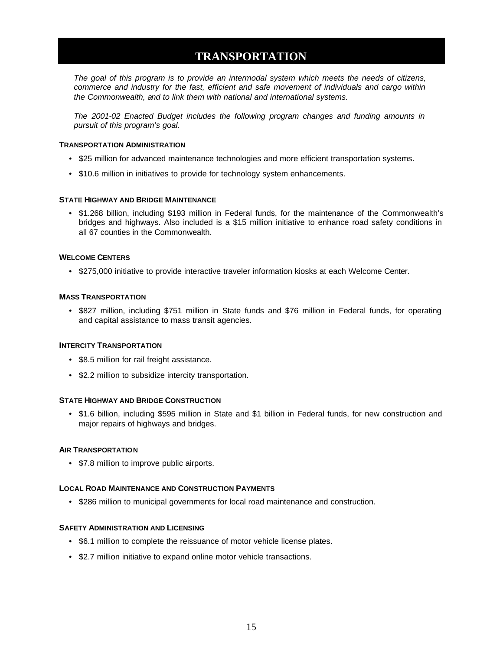## **TRANSPORTATION**

<span id="page-16-0"></span>*The goal of this program is to provide an intermodal system which meets the needs of citizens, commerce and industry for the fast, efficient and safe movement of individuals and cargo within the Commonwealth, and to link them with national and international systems.*

*The 2001-02 Enacted Budget includes the following program changes and funding amounts in pursuit of this program's goal.*

#### **TRANSPORTATION ADMINISTRATION**

- \$25 million for advanced maintenance technologies and more efficient transportation systems.
- \$10.6 million in initiatives to provide for technology system enhancements.

#### **STATE HIGHWAY AND BRIDGE MAINTENANCE**

• \$1.268 billion, including \$193 million in Federal funds, for the maintenance of the Commonwealth's bridges and highways. Also included is a \$15 million initiative to enhance road safety conditions in all 67 counties in the Commonwealth.

#### **WELCOME CENTERS**

• \$275,000 initiative to provide interactive traveler information kiosks at each Welcome Center.

#### **MASS TRANSPORTATION**

• \$827 million, including \$751 million in State funds and \$76 million in Federal funds, for operating and capital assistance to mass transit agencies.

#### **INTERCITY TRANSPORTATION**

- \$8.5 million for rail freight assistance.
- \$2.2 million to subsidize intercity transportation.

#### **STATE HIGHWAY AND BRIDGE CONSTRUCTION**

• \$1.6 billion, including \$595 million in State and \$1 billion in Federal funds, for new construction and major repairs of highways and bridges.

#### **AIR TRANSPORTATION**

• \$7.8 million to improve public airports.

#### **LOCAL ROAD MAINTENANCE AND CONSTRUCTION PAYMENTS**

• \$286 million to municipal governments for local road maintenance and construction.

#### **SAFETY ADMINISTRATION AND LICENSING**

- \$6.1 million to complete the reissuance of motor vehicle license plates.
- \$2.7 million initiative to expand online motor vehicle transactions.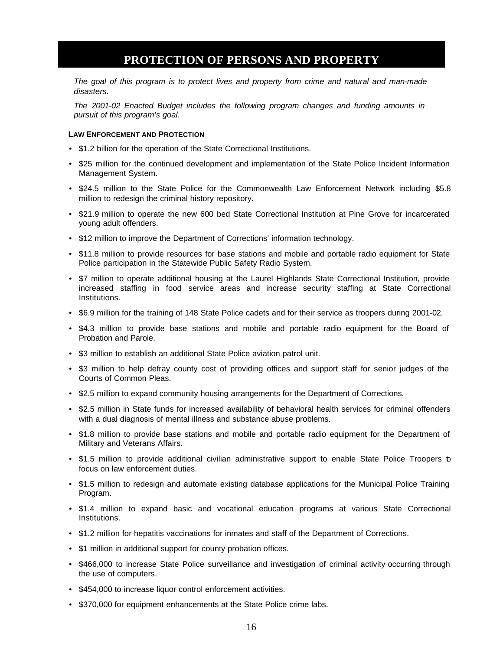### **PROTECTION OF PERSONS AND PROPERTY**

<span id="page-17-0"></span>*The goal of this program is to protect lives and property from crime and natural and man-made disasters.*

*The 2001-02 Enacted Budget includes the following program changes and funding amounts in pursuit of this program's goal.*

#### **LAW ENFORCEMENT AND PROTECTION**

- \$1.2 billion for the operation of the State Correctional Institutions.
- \$25 million for the continued development and implementation of the State Police Incident Information Management System.
- \$24.5 million to the State Police for the Commonwealth Law Enforcement Network including \$5.8 million to redesign the criminal history repository.
- \$21.9 million to operate the new 600 bed State Correctional Institution at Pine Grove for incarcerated young adult offenders.
- \$12 million to improve the Department of Corrections' information technology.
- \$11.8 million to provide resources for base stations and mobile and portable radio equipment for State Police participation in the Statewide Public Safety Radio System.
- \$7 million to operate additional housing at the Laurel Highlands State Correctional Institution, provide increased staffing in food service areas and increase security staffing at State Correctional Institutions.
- \$6.9 million for the training of 148 State Police cadets and for their service as troopers during 2001-02.
- \$4.3 million to provide base stations and mobile and portable radio equipment for the Board of Probation and Parole.
- \$3 million to establish an additional State Police aviation patrol unit.
- \$3 million to help defray county cost of providing offices and support staff for senior judges of the Courts of Common Pleas.
- \$2.5 million to expand community housing arrangements for the Department of Corrections.
- \$2.5 million in State funds for increased availability of behavioral health services for criminal offenders with a dual diagnosis of mental illness and substance abuse problems.
- \$1.8 million to provide base stations and mobile and portable radio equipment for the Department of Military and Veterans Affairs.
- \$1.5 million to provide additional civilian administrative support to enable State Police Troopers b focus on law enforcement duties.
- \$1.5 million to redesign and automate existing database applications for the Municipal Police Training Program.
- \$1.4 million to expand basic and vocational education programs at various State Correctional Institutions.
- \$1.2 million for hepatitis vaccinations for inmates and staff of the Department of Corrections.
- \$1 million in additional support for county probation offices.
- \$466,000 to increase State Police surveillance and investigation of criminal activity occurring through the use of computers.
- \$454,000 to increase liquor control enforcement activities.
- \$370,000 for equipment enhancements at the State Police crime labs.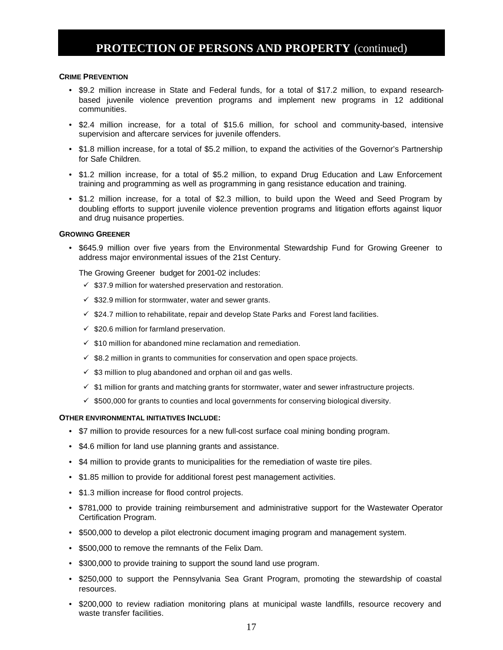### **PROTECTION OF PERSONS AND PROPERTY** (continued)

#### **CRIME PREVENTION**

- \$9.2 million increase in State and Federal funds, for a total of \$17.2 million, to expand researchbased juvenile violence prevention programs and implement new programs in 12 additional communities.
- \$2.4 million increase, for a total of \$15.6 million, for school and community-based, intensive supervision and aftercare services for juvenile offenders.
- \$1.8 million increase, for a total of \$5.2 million, to expand the activities of the Governor's Partnership for Safe Children.
- \$1.2 million increase, for a total of \$5.2 million, to expand Drug Education and Law Enforcement training and programming as well as programming in gang resistance education and training.
- \$1.2 million increase, for a total of \$2.3 million, to build upon the Weed and Seed Program by doubling efforts to support juvenile violence prevention programs and litigation efforts against liquor and drug nuisance properties.

#### **GROWING GREENER**

• \$645.9 million over five years from the Environmental Stewardship Fund for Growing Greener to address major environmental issues of the 21st Century.

The Growing Greener budget for 2001-02 includes:

- $\checkmark$  \$37.9 million for watershed preservation and restoration.
- $\checkmark$  \$32.9 million for stormwater, water and sewer grants.
- $\checkmark$  \$24.7 million to rehabilitate, repair and develop State Parks and Forest land facilities.
- $\checkmark$  \$20.6 million for farmland preservation.
- $\checkmark$  \$10 million for abandoned mine reclamation and remediation.
- $\checkmark$  \$8.2 million in grants to communities for conservation and open space projects.
- $\checkmark$  \$3 million to plug abandoned and orphan oil and gas wells.
- $\checkmark$  \$1 million for grants and matching grants for stormwater, water and sewer infrastructure projects.
- $\checkmark$  \$500,000 for grants to counties and local governments for conserving biological diversity.

#### **OTHER ENVIRONMENTAL INITIATIVES INCLUDE:**

- \$7 million to provide resources for a new full-cost surface coal mining bonding program.
- \$4.6 million for land use planning grants and assistance.
- \$4 million to provide grants to municipalities for the remediation of waste tire piles.
- \$1.85 million to provide for additional forest pest management activities.
- \$1.3 million increase for flood control projects.
- \$781,000 to provide training reimbursement and administrative support for the Wastewater Operator Certification Program.
- \$500,000 to develop a pilot electronic document imaging program and management system.
- \$500,000 to remove the remnants of the Felix Dam.
- \$300,000 to provide training to support the sound land use program.
- \$250,000 to support the Pennsylvania Sea Grant Program, promoting the stewardship of coastal resources.
- \$200,000 to review radiation monitoring plans at municipal waste landfills, resource recovery and waste transfer facilities.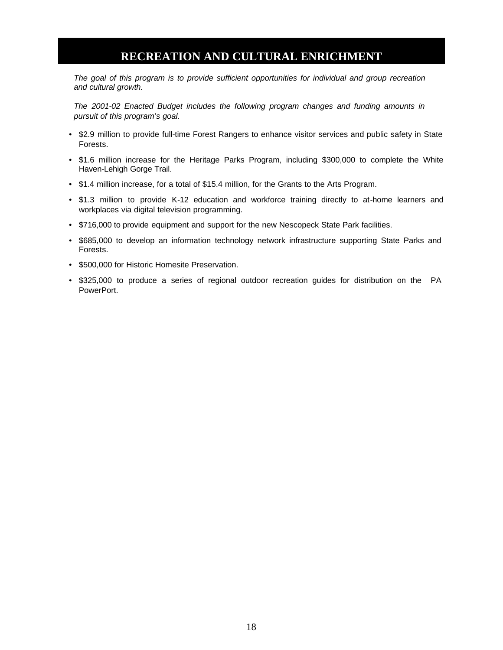### **RECREATION AND CULTURAL ENRICHMENT**

<span id="page-19-0"></span>*The goal of this program is to provide sufficient opportunities for individual and group recreation and cultural growth.*

*The 2001-02 Enacted Budget includes the following program changes and funding amounts in pursuit of this program's goal.*

- \$2.9 million to provide full-time Forest Rangers to enhance visitor services and public safety in State Forests.
- \$1.6 million increase for the Heritage Parks Program, including \$300,000 to complete the White Haven-Lehigh Gorge Trail.
- \$1.4 million increase, for a total of \$15.4 million, for the Grants to the Arts Program.
- \$1.3 million to provide K-12 education and workforce training directly to at-home learners and workplaces via digital television programming.
- \$716,000 to provide equipment and support for the new Nescopeck State Park facilities.
- \$685,000 to develop an information technology network infrastructure supporting State Parks and Forests.
- \$500,000 for Historic Homesite Preservation.
- \$325,000 to produce a series of regional outdoor recreation guides for distribution on the PA PowerPort.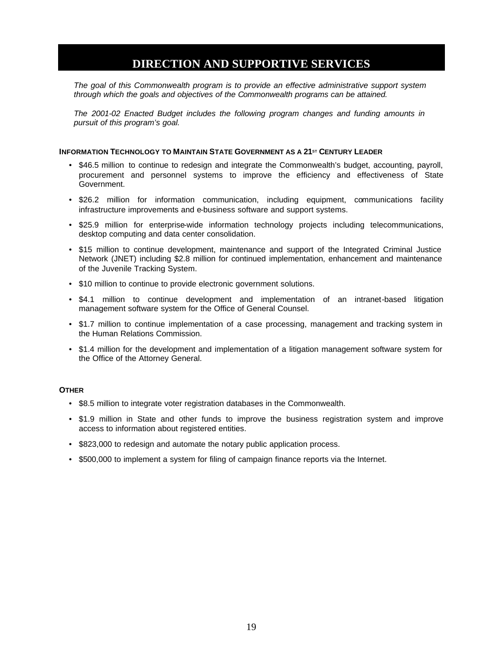### **DIRECTION AND SUPPORTIVE SERVICES**

<span id="page-20-0"></span>*The goal of this Commonwealth program is to provide an effective administrative support system through which the goals and objectives of the Commonwealth programs can be attained.*

*The 2001-02 Enacted Budget includes the following program changes and funding amounts in pursuit of this program's goal.*

#### **INFORMATION TECHNOLOGY TO MAINTAIN STATE GOVERNMENT AS A 21ST CENTURY LEADER**

- \$46.5 million to continue to redesign and integrate the Commonwealth's budget, accounting, payroll, procurement and personnel systems to improve the efficiency and effectiveness of State Government.
- \$26.2 million for information communication, including equipment, communications facility infrastructure improvements and e-business software and support systems.
- \$25.9 million for enterprise-wide information technology projects including telecommunications, desktop computing and data center consolidation.
- \$15 million to continue development, maintenance and support of the Integrated Criminal Justice Network (JNET) including \$2.8 million for continued implementation, enhancement and maintenance of the Juvenile Tracking System.
- \$10 million to continue to provide electronic government solutions.
- \$4.1 million to continue development and implementation of an intranet-based litigation management software system for the Office of General Counsel.
- \$1.7 million to continue implementation of a case processing, management and tracking system in the Human Relations Commission.
- \$1.4 million for the development and implementation of a litigation management software system for the Office of the Attorney General.

#### **OTHER**

- \$8.5 million to integrate voter registration databases in the Commonwealth.
- \$1.9 million in State and other funds to improve the business registration system and improve access to information about registered entities.
- \$823,000 to redesign and automate the notary public application process.
- \$500,000 to implement a system for filing of campaign finance reports via the Internet.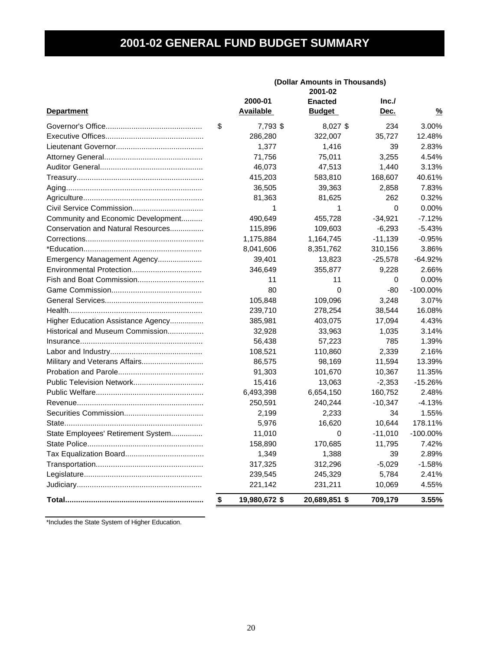# **2001-02 GENERAL FUND BUDGET SUMMARY**

<span id="page-21-0"></span>

|                                    |                     | (Dollar Amounts in Thousands)<br>2001-02 |             |               |
|------------------------------------|---------------------|------------------------------------------|-------------|---------------|
|                                    | 2000-01             | <b>Enacted</b>                           | Inc.        |               |
| <b>Department</b>                  | <b>Available</b>    | <u>Budget</u>                            | Dec.        | $\frac{9}{6}$ |
|                                    | \$<br>7,793 \$      | 8,027 \$                                 | 234         | 3.00%         |
|                                    | 286,280             | 322,007                                  | 35,727      | 12.48%        |
|                                    | 1,377               | 1,416                                    | 39          | 2.83%         |
|                                    | 71,756              | 75,011                                   | 3,255       | 4.54%         |
|                                    | 46,073              | 47,513                                   | 1,440       | 3.13%         |
|                                    | 415,203             | 583,810                                  | 168,607     | 40.61%        |
|                                    | 36,505              | 39,363                                   | 2,858       | 7.83%         |
|                                    | 81,363              | 81,625                                   | 262         | 0.32%         |
|                                    | 1                   | 1                                        | $\mathbf 0$ | 0.00%         |
| Community and Economic Development | 490,649             | 455,728                                  | $-34,921$   | $-7.12%$      |
| Conservation and Natural Resources | 115,896             | 109,603                                  | $-6,293$    | $-5.43%$      |
|                                    | 1,175,884           | 1,164,745                                | $-11,139$   | $-0.95%$      |
|                                    | 8,041,606           | 8,351,762                                | 310,156     | 3.86%         |
| Emergency Management Agency        | 39,401              | 13,823                                   | $-25,578$   | $-64.92%$     |
| Environmental Protection           | 346,649             | 355,877                                  | 9,228       | 2.66%         |
| Fish and Boat Commission           | 11                  | 11                                       | 0           | 0.00%         |
|                                    | 80                  | 0                                        | $-80$       | $-100.00\%$   |
|                                    | 105,848             | 109,096                                  | 3,248       | 3.07%         |
|                                    | 239,710             | 278,254                                  | 38,544      | 16.08%        |
| Higher Education Assistance Agency | 385,981             | 403,075                                  | 17,094      | 4.43%         |
| Historical and Museum Commission   | 32,928              | 33,963                                   | 1,035       | 3.14%         |
|                                    | 56,438              | 57,223                                   | 785         | 1.39%         |
|                                    | 108,521             | 110,860                                  | 2,339       | 2.16%         |
| Military and Veterans Affairs      | 86,575              | 98,169                                   | 11,594      | 13.39%        |
|                                    | 91,303              | 101,670                                  | 10,367      | 11.35%        |
|                                    | 15,416              | 13,063                                   | $-2,353$    | $-15.26%$     |
|                                    | 6,493,398           | 6,654,150                                | 160,752     | 2.48%         |
|                                    | 250,591             | 240,244                                  | $-10,347$   | $-4.13%$      |
|                                    | 2,199               | 2,233                                    | 34          | 1.55%         |
|                                    | 5,976               | 16,620                                   | 10,644      | 178.11%       |
| State Employees' Retirement System | 11,010              | 0                                        | $-11,010$   | $-100.00\%$   |
|                                    | 158,890             | 170,685                                  | 11,795      | 7.42%         |
|                                    | 1,349               | 1,388                                    | 39          | 2.89%         |
|                                    | 317,325             | 312,296                                  | $-5,029$    | $-1.58%$      |
|                                    | 239,545             | 245,329                                  | 5,784       | 2.41%         |
|                                    | 221,142             | 231,211                                  | 10,069      | 4.55%         |
|                                    | \$<br>19,980,672 \$ | 20,689,851 \$                            | 709,179     | 3.55%         |

\*Includes the State System of Higher Education.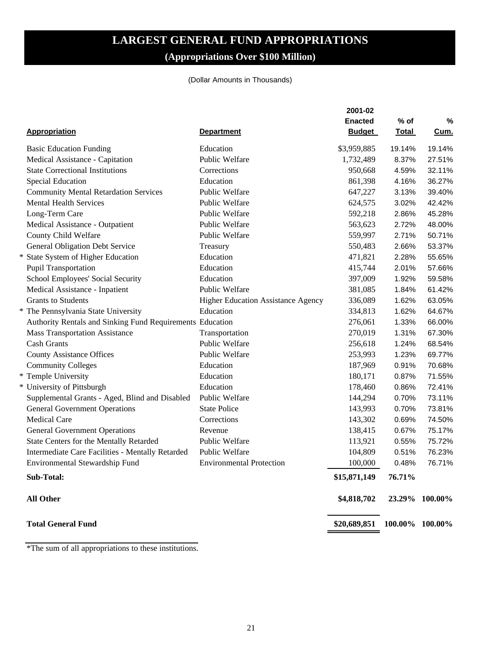# **LARGEST GENERAL FUND APPROPRIATIONS (Appropriations Over \$100 Million)**

#### (Dollar Amounts in Thousands)

<span id="page-22-0"></span>

| <b>Appropriation</b>                                      | <b>Department</b>                  | 2001-02<br><b>Enacted</b><br><b>Budget</b> | $%$ of<br><b>Total</b> | %<br><u>Cum.</u> |
|-----------------------------------------------------------|------------------------------------|--------------------------------------------|------------------------|------------------|
| <b>Basic Education Funding</b>                            | Education                          | \$3,959,885                                | 19.14%                 | 19.14%           |
| Medical Assistance - Capitation                           | <b>Public Welfare</b>              | 1,732,489                                  | 8.37%                  | 27.51%           |
| <b>State Correctional Institutions</b>                    | Corrections                        | 950,668                                    | 4.59%                  | 32.11%           |
| Special Education                                         | Education                          | 861,398                                    | 4.16%                  | 36.27%           |
| <b>Community Mental Retardation Services</b>              | Public Welfare                     | 647,227                                    | 3.13%                  | 39.40%           |
| <b>Mental Health Services</b>                             | Public Welfare                     | 624,575                                    | 3.02%                  | 42.42%           |
| Long-Term Care                                            | Public Welfare                     | 592,218                                    | 2.86%                  | 45.28%           |
| Medical Assistance - Outpatient                           | Public Welfare                     | 563,623                                    | 2.72%                  | 48.00%           |
| County Child Welfare                                      | Public Welfare                     | 559,997                                    | 2.71%                  | 50.71%           |
| General Obligation Debt Service                           | Treasury                           | 550,483                                    | 2.66%                  | 53.37%           |
| * State System of Higher Education                        | Education                          | 471,821                                    | 2.28%                  | 55.65%           |
| Pupil Transportation                                      | Education                          | 415,744                                    | 2.01%                  | 57.66%           |
| School Employees' Social Security                         | Education                          | 397,009                                    | 1.92%                  | 59.58%           |
| Medical Assistance - Inpatient                            | Public Welfare                     | 381,085                                    | 1.84%                  | 61.42%           |
| <b>Grants to Students</b>                                 | Higher Education Assistance Agency | 336,089                                    | 1.62%                  | 63.05%           |
| * The Pennsylvania State University                       | Education                          | 334,813                                    | 1.62%                  | 64.67%           |
| Authority Rentals and Sinking Fund Requirements Education |                                    | 276,061                                    | 1.33%                  | 66.00%           |
| <b>Mass Transportation Assistance</b>                     | Transportation                     | 270,019                                    | 1.31%                  | 67.30%           |
| <b>Cash Grants</b>                                        | Public Welfare                     | 256,618                                    | 1.24%                  | 68.54%           |
| <b>County Assistance Offices</b>                          | Public Welfare                     | 253,993                                    | 1.23%                  | 69.77%           |
| <b>Community Colleges</b>                                 | Education                          | 187,969                                    | 0.91%                  | 70.68%           |
| * Temple University                                       | Education                          | 180,171                                    | 0.87%                  | 71.55%           |
| * University of Pittsburgh                                | Education                          | 178,460                                    | 0.86%                  | 72.41%           |
| Supplemental Grants - Aged, Blind and Disabled            | Public Welfare                     | 144,294                                    | 0.70%                  | 73.11%           |
| <b>General Government Operations</b>                      | <b>State Police</b>                | 143,993                                    | 0.70%                  | 73.81%           |
| <b>Medical Care</b>                                       | Corrections                        | 143,302                                    | 0.69%                  | 74.50%           |
| <b>General Government Operations</b>                      | Revenue                            | 138,415                                    | 0.67%                  | 75.17%           |
| State Centers for the Mentally Retarded                   | Public Welfare                     | 113,921                                    | 0.55%                  | 75.72%           |
| Intermediate Care Facilities - Mentally Retarded          | Public Welfare                     | 104,809                                    | 0.51%                  | 76.23%           |
| Environmental Stewardship Fund                            | <b>Environmental Protection</b>    | 100,000                                    | 0.48%                  | 76.71%           |
| Sub-Total:                                                |                                    | \$15,871,149                               | 76.71%                 |                  |
| <b>All Other</b>                                          |                                    | \$4,818,702                                |                        | 23.29% 100.00%   |
| <b>Total General Fund</b>                                 |                                    | \$20,689,851                               | 100.00% 100.00%        |                  |
|                                                           |                                    |                                            |                        |                  |

\*The sum of all appropriations to these institutions.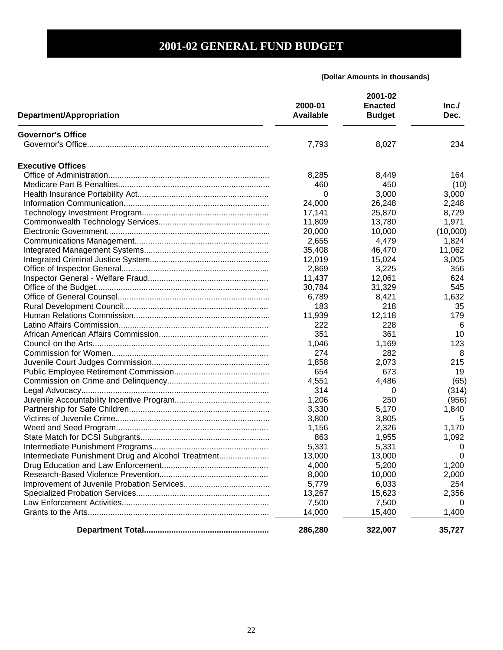<span id="page-23-0"></span>

|                                                    | 2000-01<br><b>Available</b> | 2001-02<br><b>Enacted</b> | Inc.<br>Dec. |
|----------------------------------------------------|-----------------------------|---------------------------|--------------|
| Department/Appropriation                           |                             | <b>Budget</b>             |              |
| <b>Governor's Office</b>                           |                             |                           |              |
|                                                    | 7,793                       | 8,027                     | 234          |
| <b>Executive Offices</b>                           |                             |                           |              |
|                                                    | 8,285                       | 8,449                     | 164          |
|                                                    | 460                         | 450                       | (10)         |
|                                                    | 0                           | 3,000                     | 3,000        |
|                                                    | 24,000                      | 26,248                    | 2,248        |
|                                                    | 17,141                      | 25,870                    | 8,729        |
|                                                    | 11,809                      | 13,780                    | 1,971        |
|                                                    | 20,000                      | 10,000                    | (10,000)     |
|                                                    | 2,655                       | 4,479                     | 1,824        |
|                                                    | 35,408                      | 46,470                    | 11,062       |
|                                                    | 12,019                      | 15,024                    | 3,005        |
|                                                    | 2,869                       | 3,225                     | 356          |
|                                                    | 11,437                      | 12,061                    | 624          |
|                                                    | 30,784                      | 31,329                    | 545          |
|                                                    | 6,789                       | 8,421                     | 1,632        |
|                                                    | 183                         | 218                       | 35           |
|                                                    | 11,939                      | 12,118                    | 179          |
|                                                    | 222                         | 228                       | 6            |
|                                                    | 351                         | 361                       | 10           |
|                                                    | 1,046                       | 1,169                     | 123          |
|                                                    | 274                         | 282                       | 8            |
|                                                    | 1,858                       | 2,073                     | 215          |
|                                                    | 654                         | 673                       | 19           |
|                                                    | 4,551                       | 4,486                     | (65)         |
|                                                    | 314                         | 0                         | (314)        |
|                                                    | 1,206                       | 250                       | (956)        |
|                                                    | 3,330                       | 5,170                     | 1,840        |
|                                                    | 3,800                       | 3,805                     | 5            |
|                                                    | 1,156                       | 2,326                     | 1,170        |
|                                                    | 863                         | 1,955                     | 1,092        |
|                                                    | 5,331                       | 5,331                     | 0            |
| Intermediate Punishment Drug and Alcohol Treatment | 13,000                      | 13,000                    | 0            |
|                                                    | 4,000                       | 5,200                     | 1,200        |
|                                                    | 8,000                       | 10,000                    | 2,000        |
|                                                    | 5,779                       | 6,033                     | 254          |
|                                                    | 13,267                      | 15,623                    | 2,356        |
|                                                    | 7,500                       | 7,500                     |              |
|                                                    | 14,000                      | 15,400                    | 1,400        |
|                                                    | 286,280                     | 322,007                   | 35,727       |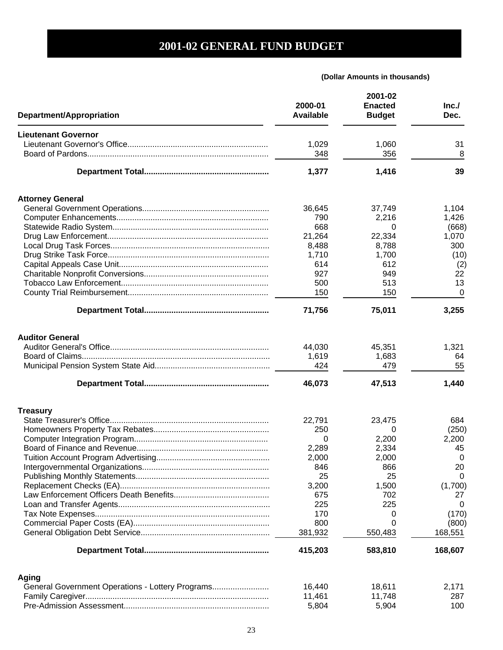| Department/Appropriation                         | 2000-01<br><b>Available</b> | 2001-02<br><b>Enacted</b><br><b>Budget</b> | Inc.<br>Dec. |
|--------------------------------------------------|-----------------------------|--------------------------------------------|--------------|
| <b>Lieutenant Governor</b>                       |                             |                                            |              |
|                                                  | 1,029                       | 1,060                                      | 31           |
|                                                  | 348                         | 356                                        | 8            |
|                                                  | 1,377                       | 1,416                                      | 39           |
| <b>Attorney General</b>                          |                             |                                            |              |
|                                                  | 36,645                      | 37,749                                     | 1,104        |
|                                                  | 790                         | 2,216                                      | 1,426        |
|                                                  | 668                         | 0                                          | (668)        |
|                                                  | 21,264                      | 22,334                                     | 1,070        |
|                                                  | 8,488                       | 8,788                                      | 300          |
|                                                  | 1,710                       | 1,700                                      | (10)         |
|                                                  | 614                         | 612                                        | (2)          |
|                                                  | 927                         | 949                                        | 22           |
|                                                  | 500                         | 513                                        | 13           |
|                                                  | 150                         | 150                                        | 0            |
|                                                  | 71,756                      | 75,011                                     | 3,255        |
| <b>Auditor General</b>                           |                             |                                            |              |
|                                                  | 44,030                      | 45,351                                     | 1,321        |
|                                                  | 1,619                       | 1,683                                      | 64           |
|                                                  | 424                         | 479                                        | 55           |
|                                                  | 46,073                      | 47,513                                     | 1,440        |
| <b>Treasury</b>                                  |                             |                                            |              |
|                                                  | 22,791                      | 23,475                                     | 684          |
|                                                  | 250                         | 0                                          | (250)        |
|                                                  | 0                           | 2,200                                      | 2,200        |
|                                                  | 2,289                       | 2,334                                      | 45           |
|                                                  | 2,000                       | 2,000                                      | 0            |
|                                                  | 846                         | 866                                        | 20           |
|                                                  | 25                          | 25                                         | 0            |
|                                                  | 3,200                       | 1,500                                      | (1,700)      |
|                                                  | 675                         | 702                                        | 27           |
|                                                  | 225                         | 225                                        | 0            |
|                                                  | 170                         | 0                                          | (170)        |
|                                                  | 800                         | O                                          | (800)        |
|                                                  | 381,932                     | 550,483                                    | 168,551      |
|                                                  | 415,203                     | 583,810                                    | 168,607      |
| Aging                                            |                             |                                            |              |
| General Government Operations - Lottery Programs | 16,440                      | 18,611                                     | 2,171        |
|                                                  | 11,461                      | 11,748                                     | 287          |
|                                                  | 5,804                       | 5,904                                      | 100          |
|                                                  |                             |                                            |              |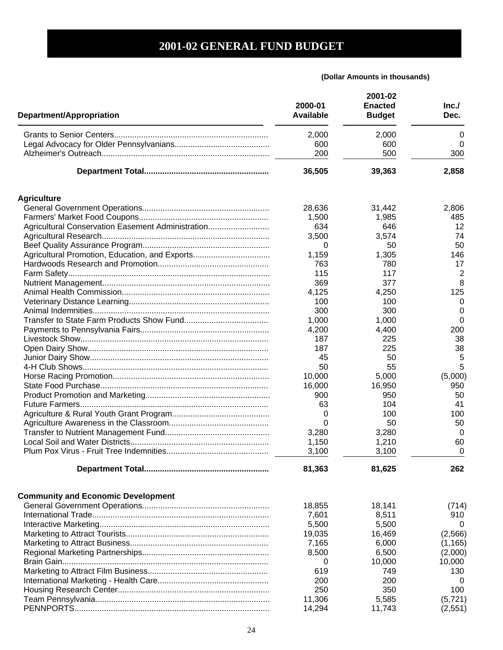| <b>Department/Appropriation</b>                   | 2000-01<br><b>Available</b> | 2001-02<br><b>Enacted</b><br><b>Budget</b> | Inc.<br>Dec.   |
|---------------------------------------------------|-----------------------------|--------------------------------------------|----------------|
|                                                   | 2,000                       | 2,000                                      | 0              |
|                                                   | 600                         | 600                                        | 0              |
|                                                   | 200                         | 500                                        | 300            |
|                                                   | 36,505                      | 39,363                                     | 2,858          |
| <b>Agriculture</b>                                |                             |                                            |                |
|                                                   | 28,636                      | 31,442                                     | 2,806          |
|                                                   | 1,500                       | 1,985                                      | 485            |
| Agricultural Conservation Easement Administration | 634                         | 646                                        | 12             |
|                                                   | 3,500                       | 3,574                                      | 74             |
|                                                   | 0                           | 50                                         | 50             |
| Agricultural Promotion, Education, and Exports    | 1,159                       | 1,305                                      | 146            |
|                                                   | 763                         | 780                                        | 17             |
|                                                   | 115                         | 117                                        | $\overline{2}$ |
|                                                   | 369                         | 377                                        | 8              |
|                                                   | 4,125                       | 4,250                                      | 125            |
|                                                   | 100                         | 100                                        | 0              |
|                                                   | 300                         | 300                                        | 0              |
|                                                   | 1,000                       | 1,000                                      | 0              |
|                                                   | 4,200                       | 4,400                                      | 200            |
|                                                   | 187                         | 225                                        | 38             |
|                                                   | 187                         | 225                                        | 38             |
|                                                   | 45                          | 50                                         | 5              |
|                                                   | 50                          | 55                                         | 5              |
|                                                   | 10,000                      | 5,000                                      | (5,000)        |
|                                                   | 16,000                      | 16,950                                     | 950            |
|                                                   | 900                         | 950                                        | 50             |
|                                                   | 63                          | 104                                        | 41             |
|                                                   | 0                           | 100                                        | 100            |
|                                                   | 0                           | 50                                         | 50             |
|                                                   | 3,280                       | 3,280                                      | 0              |
|                                                   | 1,150                       | 1,210                                      | 60             |
|                                                   | 3,100                       | 3,100                                      | 0              |
|                                                   | 81,363                      | 81,625                                     | 262            |
| <b>Community and Economic Development</b>         |                             |                                            |                |
|                                                   | 18,855                      | 18,141                                     | (714)          |
|                                                   | 7,601                       | 8,511                                      | 910            |
|                                                   | 5,500                       | 5,500                                      |                |
|                                                   | 19,035                      | 16,469                                     | (2,566)        |
|                                                   | 7,165                       | 6,000                                      | (1, 165)       |
|                                                   | 8,500                       | 6,500                                      | (2,000)        |
|                                                   | 0                           | 10,000                                     | 10,000         |
|                                                   | 619                         | 749                                        | 130            |
|                                                   | 200                         | 200                                        | 0              |
|                                                   | 250                         | 350                                        | 100            |
|                                                   | 11,306                      | 5,585                                      | (5, 721)       |
|                                                   | 14,294                      | 11,743                                     | (2,551)        |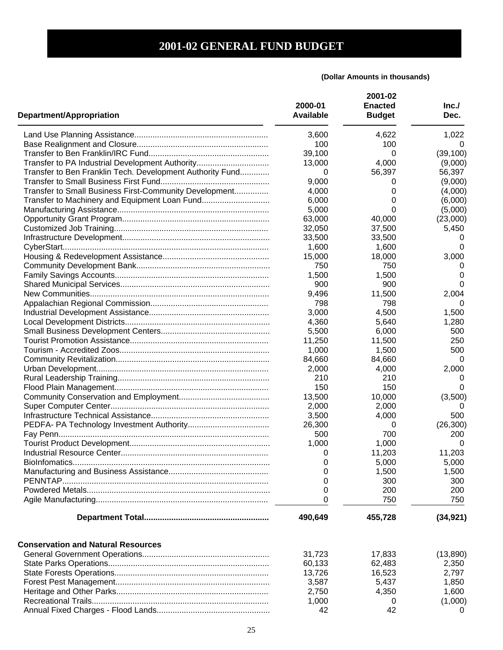| <b>Department/Appropriation</b>                           | 2000-01<br><b>Available</b> | 2001-02<br><b>Enacted</b><br><b>Budget</b> | Inc.<br>Dec. |
|-----------------------------------------------------------|-----------------------------|--------------------------------------------|--------------|
|                                                           | 3,600                       | 4,622                                      | 1,022        |
|                                                           | 100                         | 100                                        | 0            |
|                                                           | 39,100                      | 0                                          | (39, 100)    |
| Transfer to PA Industrial Development Authority           | 13,000                      | 4,000                                      | (9,000)      |
| Transfer to Ben Franklin Tech. Development Authority Fund | 0                           | 56,397                                     | 56,397       |
|                                                           | 9,000                       | 0                                          | (9,000)      |
| Transfer to Small Business First-Community Development    | 4,000                       | 0                                          | (4,000)      |
|                                                           | 6,000                       | 0                                          | (6,000)      |
|                                                           | 5,000                       | 0                                          | (5,000)      |
|                                                           | 63,000                      | 40,000                                     | (23,000)     |
|                                                           | 32,050                      | 37,500                                     | 5,450        |
|                                                           | 33,500                      | 33,500                                     |              |
|                                                           | 1,600                       | 1,600                                      | 0            |
|                                                           | 15,000                      | 18,000                                     | 3,000        |
|                                                           | 750                         | 750                                        | $\mathbf{0}$ |
|                                                           | 1,500                       | 1,500                                      | 0            |
|                                                           | 900                         | 900                                        | 0            |
|                                                           | 9,496                       | 11,500                                     | 2,004        |
|                                                           | 798                         | 798                                        | $\Omega$     |
|                                                           |                             |                                            |              |
|                                                           | 3,000                       | 4,500                                      | 1,500        |
|                                                           | 4,360                       | 5,640                                      | 1,280        |
|                                                           | 5,500                       | 6,000                                      | 500          |
|                                                           | 11,250                      | 11,500                                     | 250          |
|                                                           | 1,000                       | 1,500                                      | 500          |
|                                                           | 84,660                      | 84,660                                     | 0            |
|                                                           | 2,000                       | 4,000                                      | 2,000        |
|                                                           | 210                         | 210                                        | 0            |
|                                                           | 150                         | 150                                        | 0            |
|                                                           | 13,500                      | 10,000                                     | (3,500)      |
|                                                           | 2,000                       | 2,000                                      | O            |
|                                                           | 3,500                       | 4,000                                      | 500          |
|                                                           | 26,300                      | 0                                          | (26, 300)    |
|                                                           | 500                         | 700                                        | 200          |
|                                                           | 1,000                       | 1,000                                      | 0            |
|                                                           | 0                           | 11,203                                     | 11,203       |
|                                                           | 0                           | 5,000                                      | 5,000        |
|                                                           | 0                           | 1,500                                      | 1,500        |
|                                                           | 0                           | 300                                        | 300          |
|                                                           | 0                           | 200                                        | 200          |
|                                                           | 0                           | 750                                        | 750          |
|                                                           | 490,649                     | 455,728                                    | (34, 921)    |
| <b>Conservation and Natural Resources</b>                 |                             |                                            |              |
|                                                           | 31,723                      | 17,833                                     | (13,890)     |
|                                                           | 60,133                      | 62,483                                     | 2,350        |
|                                                           | 13,726                      | 16,523                                     | 2,797        |
|                                                           | 3,587                       | 5,437                                      | 1,850        |
|                                                           | 2,750                       | 4,350                                      | 1,600        |
|                                                           |                             |                                            |              |
|                                                           | 1,000                       | 0                                          | (1,000)      |
|                                                           | 42                          | 42                                         | 0            |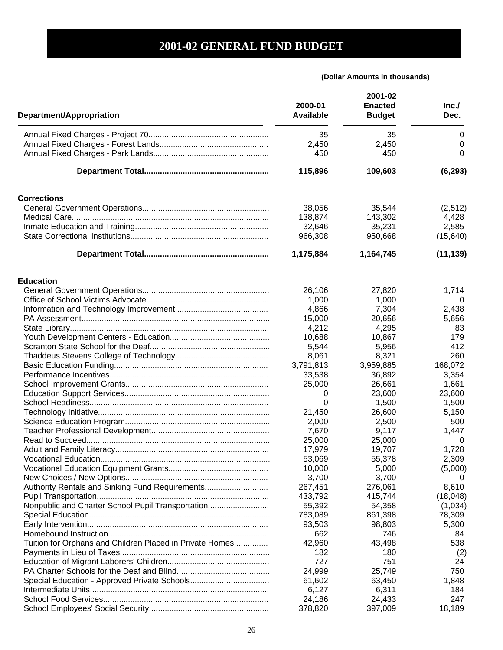| Department/Appropriation                                 | 2000-01<br><b>Available</b> | 2001-02<br><b>Enacted</b><br><b>Budget</b> | Inc.<br>Dec. |
|----------------------------------------------------------|-----------------------------|--------------------------------------------|--------------|
|                                                          | 35                          | 35                                         | 0            |
|                                                          | 2,450                       | 2,450                                      | 0            |
|                                                          | 450                         | 450                                        | 0            |
|                                                          |                             |                                            |              |
|                                                          | 115,896                     | 109,603                                    | (6, 293)     |
| <b>Corrections</b>                                       |                             |                                            |              |
|                                                          | 38,056                      | 35,544                                     | (2, 512)     |
|                                                          | 138,874                     | 143,302                                    | 4,428        |
|                                                          | 32,646                      | 35,231                                     | 2,585        |
|                                                          | 966,308                     | 950,668                                    | (15, 640)    |
|                                                          | 1,175,884                   | 1,164,745                                  | (11, 139)    |
| <b>Education</b>                                         |                             |                                            |              |
|                                                          | 26,106                      | 27,820                                     | 1,714        |
|                                                          | 1,000                       | 1,000                                      | 0            |
|                                                          | 4,866                       | 7,304                                      | 2,438        |
|                                                          | 15,000                      | 20,656                                     | 5,656        |
|                                                          | 4,212                       | 4,295                                      | 83           |
|                                                          | 10,688                      | 10,867                                     | 179          |
|                                                          | 5,544                       | 5,956                                      | 412          |
|                                                          | 8,061                       | 8,321                                      | 260          |
|                                                          | 3,791,813                   | 3,959,885                                  | 168,072      |
|                                                          | 33,538                      | 36,892                                     | 3,354        |
|                                                          | 25,000                      | 26,661                                     | 1,661        |
|                                                          | 0                           | 23,600                                     | 23,600       |
|                                                          | 0                           | 1,500                                      | 1,500        |
|                                                          | 21,450                      | 26,600                                     | 5,150        |
|                                                          | 2,000                       | 2,500                                      | 500          |
|                                                          | 7,670                       | 9,117                                      | 1,447        |
|                                                          | 25,000                      | 25,000                                     | 0            |
|                                                          | 17,979                      | 19,707                                     | 1,728        |
|                                                          | 53,069                      | 55,378                                     | 2,309        |
|                                                          | 10,000                      | 5,000                                      | (5,000)      |
|                                                          | 3,700                       | 3,700                                      | 0            |
| Authority Rentals and Sinking Fund Requirements          | 267,451                     | 276,061                                    | 8,610        |
|                                                          | 433,792                     | 415,744                                    | (18, 048)    |
| Nonpublic and Charter School Pupil Transportation        | 55,392                      | 54,358                                     | (1,034)      |
|                                                          | 783,089                     | 861,398                                    | 78,309       |
|                                                          | 93,503                      | 98,803                                     | 5,300        |
|                                                          | 662                         | 746                                        | 84           |
| Tuition for Orphans and Children Placed in Private Homes | 42,960                      | 43,498                                     | 538          |
|                                                          |                             |                                            |              |
|                                                          | 182<br>727                  | 180<br>751                                 | (2)<br>24    |
|                                                          |                             |                                            |              |
|                                                          | 24,999                      | 25,749                                     | 750          |
|                                                          | 61,602                      | 63,450                                     | 1,848        |
|                                                          | 6,127                       | 6,311                                      | 184          |
|                                                          | 24,186                      | 24,433                                     | 247          |
|                                                          | 378,820                     | 397,009                                    | 18,189       |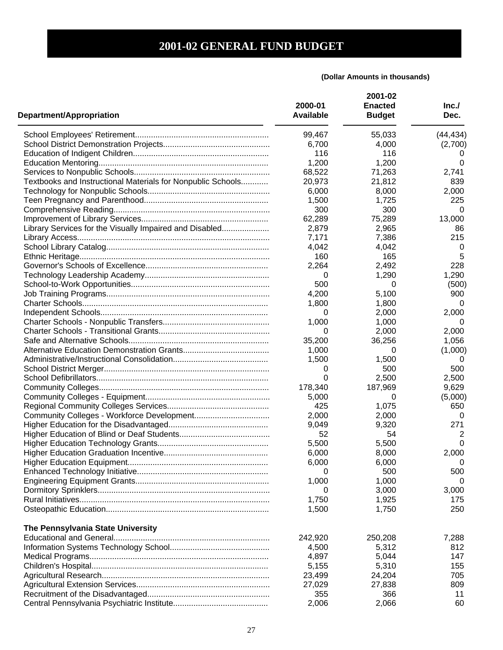| <b>Department/Appropriation</b>                             | 2000-01<br><b>Available</b> | 2001-02<br><b>Enacted</b><br><b>Budget</b> | Inc.<br>Dec. |
|-------------------------------------------------------------|-----------------------------|--------------------------------------------|--------------|
|                                                             | 99,467                      | 55,033                                     | (44, 434)    |
|                                                             | 6,700                       | 4,000                                      | (2,700)      |
|                                                             | 116                         | 116                                        |              |
|                                                             | 1,200                       | 1,200                                      | 0            |
|                                                             | 68,522                      | 71,263                                     | 2,741        |
| Textbooks and Instructional Materials for Nonpublic Schools | 20,973                      | 21,812                                     | 839          |
|                                                             | 6,000                       | 8,000                                      | 2,000        |
|                                                             | 1,500                       | 1,725                                      | 225          |
|                                                             | 300                         | 300                                        | 0            |
|                                                             | 62,289                      | 75,289                                     | 13,000       |
| Library Services for the Visually Impaired and Disabled     | 2,879                       | 2,965                                      | 86           |
|                                                             | 7,171                       | 7,386                                      | 215          |
|                                                             | 4,042                       | 4,042                                      | 0            |
|                                                             | 160                         | 165                                        | 5            |
|                                                             | 2,264                       | 2,492                                      | 228          |
|                                                             | 0                           | 1,290                                      | 1,290        |
|                                                             |                             | 0                                          |              |
|                                                             | 500                         |                                            | (500)        |
|                                                             | 4,200                       | 5,100                                      | 900          |
|                                                             | 1,800                       | 1,800                                      | 0            |
|                                                             | 0                           | 2,000                                      | 2,000        |
|                                                             | 1,000                       | 1,000                                      | O            |
|                                                             | 0                           | 2,000                                      | 2,000        |
|                                                             | 35,200                      | 36,256                                     | 1,056        |
|                                                             | 1,000                       | 0                                          | (1,000)      |
|                                                             | 1,500                       | 1,500                                      | 0            |
|                                                             | 0                           | 500                                        | 500          |
|                                                             | 0                           | 2,500                                      | 2,500        |
|                                                             | 178,340                     | 187,969                                    | 9,629        |
|                                                             | 5,000                       | 0                                          | (5,000)      |
|                                                             | 425                         | 1,075                                      | 650          |
|                                                             | 2,000                       | 2,000                                      | 0            |
|                                                             | 9,049                       | 9,320                                      | 271          |
|                                                             | 52                          | 54                                         | 2            |
|                                                             | 5,500                       | 5,500                                      | 0            |
|                                                             | 6,000                       | 8,000                                      | 2,000        |
|                                                             | 6,000                       | 6,000                                      | 0            |
|                                                             | 0                           | 500                                        | 500          |
|                                                             | 1,000                       | 1,000                                      | 0            |
|                                                             | 0                           | 3,000                                      | 3,000        |
|                                                             | 1,750                       | 1,925                                      | 175          |
|                                                             | 1,500                       | 1,750                                      | 250          |
| The Pennsylvania State University                           |                             |                                            |              |
|                                                             | 242,920                     | 250,208                                    | 7,288        |
|                                                             | 4,500                       | 5,312                                      | 812          |
|                                                             | 4,897                       | 5,044                                      | 147          |
|                                                             | 5,155                       | 5,310                                      | 155          |
|                                                             | 23,499                      | 24,204                                     | 705          |
|                                                             | 27,029                      | 27,838                                     | 809          |
|                                                             | 355                         | 366                                        | 11           |
|                                                             | 2,006                       | 2,066                                      | 60           |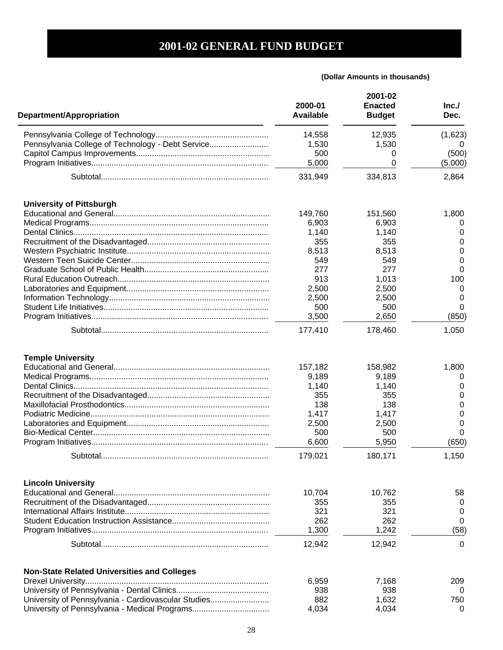| Department/Appropriation                            | 2000-01<br><b>Available</b>                                                          | 2001-02<br><b>Enacted</b><br><b>Budget</b>                                           | Inc.<br>Dec.                                               |
|-----------------------------------------------------|--------------------------------------------------------------------------------------|--------------------------------------------------------------------------------------|------------------------------------------------------------|
|                                                     | 14,558                                                                               | 12,935                                                                               | (1,623)                                                    |
| Pennsylvania College of Technology - Debt Service   | 1,530                                                                                | 1,530                                                                                |                                                            |
|                                                     | 500                                                                                  | 0                                                                                    | (500)                                                      |
|                                                     | 5,000                                                                                | 0                                                                                    | (5,000)                                                    |
|                                                     | 331,949                                                                              | 334,813                                                                              | 2,864                                                      |
| <b>University of Pittsburgh</b>                     |                                                                                      |                                                                                      |                                                            |
|                                                     | 149,760                                                                              | 151,560                                                                              | 1,800                                                      |
|                                                     | 6,903                                                                                | 6,903                                                                                |                                                            |
|                                                     | 1,140                                                                                | 1,140                                                                                | 0                                                          |
|                                                     | 355                                                                                  | 355                                                                                  | 0                                                          |
|                                                     | 8,513                                                                                | 8,513                                                                                | 0                                                          |
|                                                     | 549                                                                                  | 549                                                                                  | 0                                                          |
|                                                     | 277                                                                                  | 277                                                                                  | 0                                                          |
|                                                     | 913                                                                                  | 1,013                                                                                | 100                                                        |
|                                                     | 2,500                                                                                | 2,500                                                                                | 0                                                          |
|                                                     | 2,500                                                                                | 2,500                                                                                | 0                                                          |
|                                                     | 500                                                                                  | 500                                                                                  | 0                                                          |
|                                                     | 3,500                                                                                | 2,650                                                                                | (850)                                                      |
|                                                     | 177,410                                                                              | 178,460                                                                              | 1,050                                                      |
| <b>Temple University</b><br>Subtotal.               | 157,182<br>9,189<br>1,140<br>355<br>138<br>1,417<br>2,500<br>500<br>6,600<br>179.021 | 158,982<br>9,189<br>1,140<br>355<br>138<br>1,417<br>2,500<br>500<br>5,950<br>180,171 | 1,800<br>0<br>0<br>0<br>0<br>0<br>0<br>0<br>(650)<br>1,150 |
| <b>Lincoln University</b>                           |                                                                                      |                                                                                      |                                                            |
|                                                     | 10,704<br>355                                                                        | 10,762<br>355                                                                        | 58<br>0                                                    |
|                                                     | 321                                                                                  | 321                                                                                  | 0                                                          |
|                                                     | 262                                                                                  | 262                                                                                  | 0                                                          |
|                                                     | 1,300                                                                                | 1,242                                                                                | (58)                                                       |
|                                                     |                                                                                      |                                                                                      |                                                            |
|                                                     | 12,942                                                                               | 12,942                                                                               | 0                                                          |
| <b>Non-State Related Universities and Colleges</b>  |                                                                                      |                                                                                      |                                                            |
|                                                     | 6,959                                                                                | 7,168                                                                                | 209                                                        |
|                                                     | 938                                                                                  | 938                                                                                  | 0                                                          |
| University of Pennsylvania - Cardiovascular Studies | 882                                                                                  | 1,632                                                                                | 750                                                        |
| University of Pennsylvania - Medical Programs       | 4,034                                                                                | 4,034                                                                                | 0                                                          |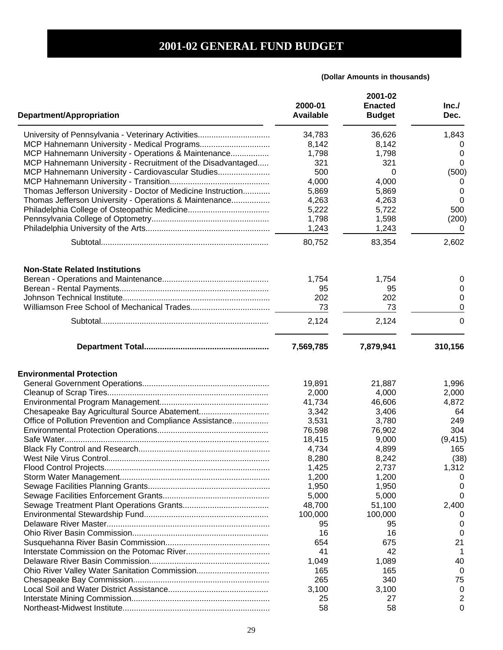| <b>Department/Appropriation</b>                              | 2000-01<br><b>Available</b> | 2001-02<br><b>Enacted</b><br><b>Budget</b> | Inc.<br>Dec.     |
|--------------------------------------------------------------|-----------------------------|--------------------------------------------|------------------|
| University of Pennsylvania - Veterinary Activities           | 34,783                      | 36,626                                     | 1,843            |
| MCP Hahnemann University - Medical Programs                  | 8,142                       | 8,142                                      | O                |
| MCP Hahnemann University - Operations & Maintenance          | 1,798                       | 1,798                                      | 0                |
| MCP Hahnemann University - Recruitment of the Disadvantaged  | 321                         | 321                                        | 0                |
| MCP Hahnemann University - Cardiovascular Studies            | 500                         | 0                                          | (500)            |
|                                                              | 4,000                       | 4,000                                      | 0                |
| Thomas Jefferson University - Doctor of Medicine Instruction | 5,869                       | 5,869                                      | 0                |
| Thomas Jefferson University - Operations & Maintenance       | 4,263                       | 4,263                                      | 0                |
|                                                              | 5,222                       | 5,722                                      | 500              |
|                                                              | 1,798                       | 1,598                                      | (200)            |
|                                                              | 1,243                       | 1,243                                      | 0                |
|                                                              | 80,752                      | 83,354                                     | 2,602            |
| <b>Non-State Related Institutions</b>                        | 1,754<br>95<br>202<br>73    | 1,754<br>95<br>202<br>73                   | 0<br>0<br>0<br>0 |
|                                                              | 2,124                       | 2,124                                      | $\Omega$         |
|                                                              | 7,569,785                   | 7,879,941                                  | 310,156          |
| <b>Environmental Protection</b>                              |                             |                                            |                  |
|                                                              | 19,891                      | 21,887                                     | 1,996            |
|                                                              | 2,000                       | 4,000                                      | 2,000            |
|                                                              | 41,734                      | 46,606                                     | 4,872            |
|                                                              | 3,342                       | 3,406                                      | 64               |
| Office of Pollution Prevention and Compliance Assistance     | 3,531                       | 3,780                                      | 249              |
|                                                              | 76,598                      | 76,902                                     | 304              |
|                                                              | 18,415                      | 9,000                                      | (9, 415)         |
|                                                              | 4,734                       | 4,899                                      | 165              |
|                                                              | 8,280                       | 8,242                                      | (38)             |
|                                                              | 1,425                       | 2,737                                      | 1,312            |
|                                                              | 1,200                       | 1,200                                      | $\Omega$         |
|                                                              | 1,950                       | 1,950                                      | 0                |
|                                                              | 5,000                       | 5,000                                      | $\Omega$         |
|                                                              | 48,700                      | 51,100                                     | 2,400            |
|                                                              |                             |                                            |                  |
|                                                              | 100,000                     | 100,000                                    | 0                |
|                                                              | 95<br>16                    | 95<br>16                                   |                  |
|                                                              |                             |                                            | 0                |
|                                                              | 654                         | 675                                        | 21               |
|                                                              | 41                          | 42                                         |                  |
|                                                              | 1,049                       | 1,089                                      | 40               |
|                                                              | 165                         | 165                                        | 0                |
|                                                              | 265                         | 340                                        | 75               |
|                                                              | 3,100                       | 3,100                                      | 0                |
|                                                              | 25                          | 27<br>58                                   | 2                |
|                                                              | 58                          |                                            | 0                |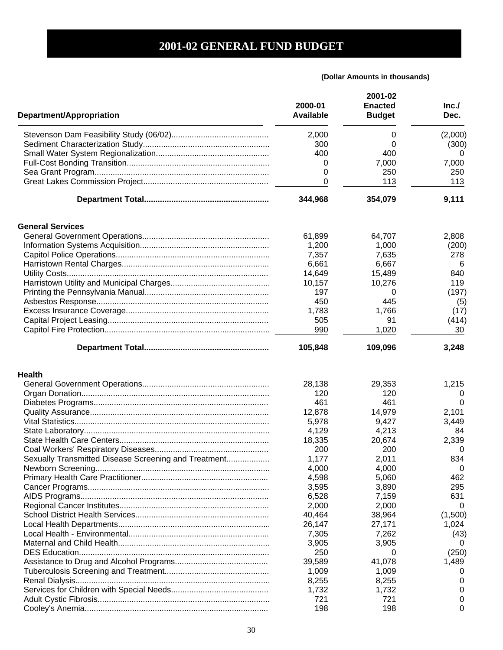| Department/Appropriation                             | 2000-01<br><b>Available</b> | 2001-02<br><b>Enacted</b><br><b>Budget</b> | Inc.<br>Dec. |
|------------------------------------------------------|-----------------------------|--------------------------------------------|--------------|
|                                                      | 2,000                       | 0                                          | (2,000)      |
|                                                      | 300                         | 0                                          | (300)        |
|                                                      | 400                         | 400                                        | 0            |
|                                                      | 0                           | 7,000                                      | 7,000        |
|                                                      | 0                           | 250                                        | 250          |
|                                                      | 0                           | 113                                        | 113          |
|                                                      | 344,968                     | 354,079                                    | 9,111        |
| <b>General Services</b>                              |                             |                                            |              |
|                                                      | 61,899                      | 64,707                                     | 2,808        |
|                                                      | 1,200                       | 1,000                                      | (200)        |
|                                                      | 7,357                       | 7,635                                      | 278          |
|                                                      | 6,661                       | 6,667                                      |              |
|                                                      |                             |                                            | 6            |
|                                                      | 14,649                      | 15,489                                     | 840          |
|                                                      | 10,157                      | 10,276                                     | 119          |
|                                                      | 197                         | 0                                          | (197)        |
|                                                      | 450                         | 445                                        | (5)          |
|                                                      | 1,783                       | 1,766                                      | (17)         |
|                                                      | 505                         | 91                                         | (414)        |
|                                                      | 990                         | 1,020                                      | 30           |
|                                                      | 105,848                     | 109,096                                    | 3,248        |
| <b>Health</b>                                        |                             |                                            |              |
|                                                      | 28,138                      | 29,353                                     | 1,215        |
|                                                      | 120                         | 120                                        | 0            |
|                                                      | 461                         | 461                                        | 0            |
|                                                      | 12,878                      | 14,979                                     | 2,101        |
|                                                      | 5,978                       | 9,427                                      | 3,449        |
|                                                      |                             |                                            |              |
|                                                      | 4,129                       | 4,213                                      | 84<br>2,339  |
|                                                      | 18,335                      | 20,674                                     |              |
|                                                      | 200                         | 200                                        | O            |
| Sexually Transmitted Disease Screening and Treatment | 1,177                       | 2,011                                      | 834          |
|                                                      | 4,000                       | 4,000                                      | 0            |
|                                                      | 4,598                       | 5,060                                      | 462          |
|                                                      | 3,595                       | 3,890                                      | 295          |
|                                                      | 6,528                       | 7,159                                      | 631          |
|                                                      | 2,000                       | 2,000                                      | $\Omega$     |
|                                                      | 40,464                      | 38,964                                     | (1,500)      |
|                                                      | 26,147                      | 27,171                                     | 1,024        |
|                                                      | 7,305                       | 7,262                                      | (43)         |
|                                                      | 3,905                       | 3,905                                      | 0            |
|                                                      | 250                         | 0                                          | (250)        |
|                                                      | 39,589                      | 41,078                                     | 1,489        |
|                                                      | 1,009                       | 1,009                                      | 0            |
|                                                      | 8,255                       | 8,255                                      | 0            |
|                                                      | 1,732                       | 1,732                                      | 0            |
|                                                      | 721                         | 721                                        | 0            |
|                                                      | 198                         | 198                                        | 0            |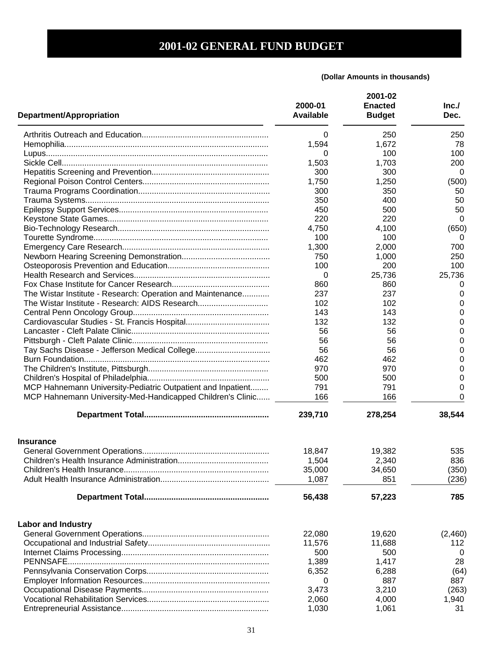| <b>Department/Appropriation</b>                                                                                           | 2000-01<br><b>Available</b> | 2001-02<br><b>Enacted</b><br><b>Budget</b> | Inc.<br>Dec. |
|---------------------------------------------------------------------------------------------------------------------------|-----------------------------|--------------------------------------------|--------------|
|                                                                                                                           | 0                           | 250                                        | 250          |
|                                                                                                                           | 1,594                       | 1,672                                      | 78           |
|                                                                                                                           | 0                           | 100                                        | 100          |
|                                                                                                                           | 1,503                       | 1,703                                      | 200          |
|                                                                                                                           | 300                         | 300                                        | 0            |
|                                                                                                                           | 1,750                       | 1,250                                      | (500)        |
|                                                                                                                           | 300                         | 350                                        | 50           |
|                                                                                                                           | 350                         | 400                                        | 50           |
|                                                                                                                           | 450                         | 500                                        | 50           |
|                                                                                                                           | 220                         | 220                                        | 0            |
|                                                                                                                           | 4,750                       | 4,100                                      | (650)        |
|                                                                                                                           | 100                         | 100                                        | 0            |
|                                                                                                                           | 1,300                       | 2,000                                      | 700          |
|                                                                                                                           | 750                         | 1,000                                      | 250          |
|                                                                                                                           | 100                         | 200                                        | 100          |
|                                                                                                                           | 0                           | 25,736                                     | 25,736       |
|                                                                                                                           | 860                         | 860                                        | 0            |
| The Wistar Institute - Research: Operation and Maintenance                                                                | 237                         | 237                                        | 0            |
| The Wistar Institute - Research: AIDS Research                                                                            | 102                         | 102                                        | 0            |
|                                                                                                                           | 143                         | 143                                        | 0            |
|                                                                                                                           | 132                         | 132                                        | 0            |
|                                                                                                                           | 56                          | 56                                         | 0            |
|                                                                                                                           | 56                          | 56                                         | 0            |
|                                                                                                                           | 56                          | 56                                         | 0            |
|                                                                                                                           | 462                         | 462                                        | 0            |
|                                                                                                                           | 970                         | 970                                        | 0            |
|                                                                                                                           | 500                         | 500                                        | 0            |
|                                                                                                                           |                             | 791                                        | 0            |
| MCP Hahnemann University-Pediatric Outpatient and Inpatient<br>MCP Hahnemann University-Med-Handicapped Children's Clinic | 791<br>166                  | 166                                        | 0            |
|                                                                                                                           | 239,710                     | 278,254                                    | 38,544       |
| <b>Insurance</b>                                                                                                          |                             |                                            |              |
|                                                                                                                           | 18,847                      | 19,382                                     | 535          |
|                                                                                                                           | 1,504                       | 2,340                                      | 836          |
|                                                                                                                           | 35,000                      | 34,650                                     | (350)        |
|                                                                                                                           | 1,087                       | 851                                        | (236)        |
|                                                                                                                           | 56,438                      | 57,223                                     | 785          |
| <b>Labor and Industry</b>                                                                                                 |                             |                                            |              |
|                                                                                                                           | 22,080                      | 19,620                                     | (2,460)      |
|                                                                                                                           | 11,576                      | 11,688                                     | 112          |
|                                                                                                                           | 500                         | 500                                        | 0            |
|                                                                                                                           | 1,389                       | 1,417                                      | 28           |
|                                                                                                                           | 6,352                       | 6,288                                      | (64)         |
|                                                                                                                           | 0                           | 887                                        | 887          |
|                                                                                                                           | 3,473                       | 3,210                                      | (263)        |
|                                                                                                                           | 2,060                       | 4,000                                      | 1,940        |
|                                                                                                                           | 1,030                       | 1,061                                      | 31           |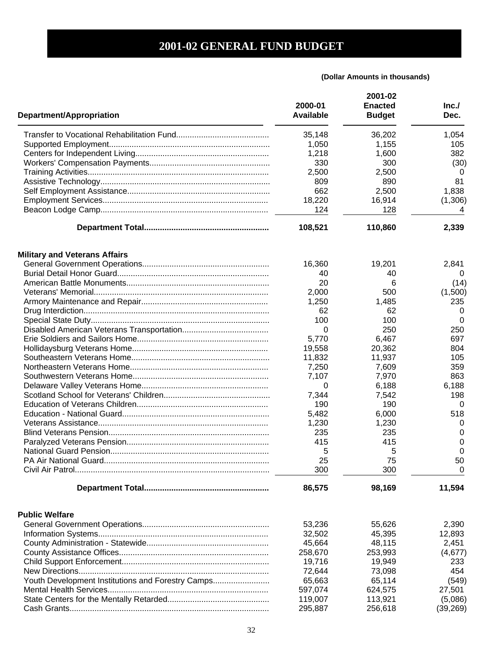| Department/Appropriation                          | 2000-01<br><b>Available</b> | 2001-02<br><b>Enacted</b><br><b>Budget</b> | Inc.<br>Dec. |
|---------------------------------------------------|-----------------------------|--------------------------------------------|--------------|
|                                                   | 35,148                      | 36,202                                     | 1,054        |
|                                                   | 1,050                       | 1,155                                      | 105          |
|                                                   | 1,218                       | 1,600                                      | 382          |
|                                                   | 330                         | 300                                        | (30)         |
|                                                   | 2,500                       | 2,500                                      | 0            |
|                                                   | 809                         | 890                                        | 81           |
|                                                   | 662                         | 2,500                                      | 1,838        |
|                                                   | 18,220                      | 16,914                                     | (1, 306)     |
|                                                   | 124                         | 128                                        | 4            |
|                                                   | 108,521                     | 110,860                                    | 2,339        |
| <b>Military and Veterans Affairs</b>              |                             |                                            |              |
|                                                   | 16,360                      | 19,201                                     | 2,841        |
|                                                   | 40                          | 40                                         | $\theta$     |
|                                                   | 20                          | 6                                          | (14)         |
|                                                   | 2,000                       | 500                                        | (1,500)      |
|                                                   | 1,250                       | 1,485                                      | 235          |
|                                                   | 62                          | 62                                         | 0            |
|                                                   | 100                         | 100                                        | 0            |
|                                                   | 0                           | 250                                        | 250          |
|                                                   | 5,770                       | 6,467                                      | 697          |
|                                                   | 19,558                      | 20,362                                     | 804          |
|                                                   | 11,832                      | 11,937                                     | 105          |
|                                                   | 7,250                       | 7,609                                      | 359          |
|                                                   | 7,107                       | 7,970                                      | 863          |
|                                                   | 0                           | 6,188                                      | 6,188        |
|                                                   | 7,344                       | 7,542                                      | 198          |
|                                                   | 190                         | 190                                        | 0            |
|                                                   | 5,482                       | 6,000                                      | 518          |
|                                                   | 1,230                       | 1,230                                      | 0            |
|                                                   | 235                         | 235                                        | 0            |
|                                                   | 415                         | 415                                        | 0            |
|                                                   | 5                           | 5                                          | 0            |
|                                                   | 25                          | 75                                         | 50           |
|                                                   | 300                         | 300                                        | 0            |
|                                                   | 86,575                      | 98,169                                     | 11,594       |
| <b>Public Welfare</b>                             |                             |                                            |              |
|                                                   | 53,236                      | 55,626                                     | 2,390        |
|                                                   | 32,502                      | 45,395                                     | 12,893       |
|                                                   | 45,664                      | 48,115                                     | 2,451        |
|                                                   | 258,670                     | 253,993                                    | (4,677)      |
|                                                   | 19,716                      | 19,949                                     | 233          |
|                                                   | 72,644                      | 73,098                                     | 454          |
| Youth Development Institutions and Forestry Camps | 65,663                      | 65,114                                     | (549)        |
|                                                   | 597,074                     | 624,575                                    | 27,501       |
|                                                   | 119,007                     | 113,921                                    | (5,086)      |
|                                                   | 295,887                     | 256,618                                    | (39, 269)    |
|                                                   |                             |                                            |              |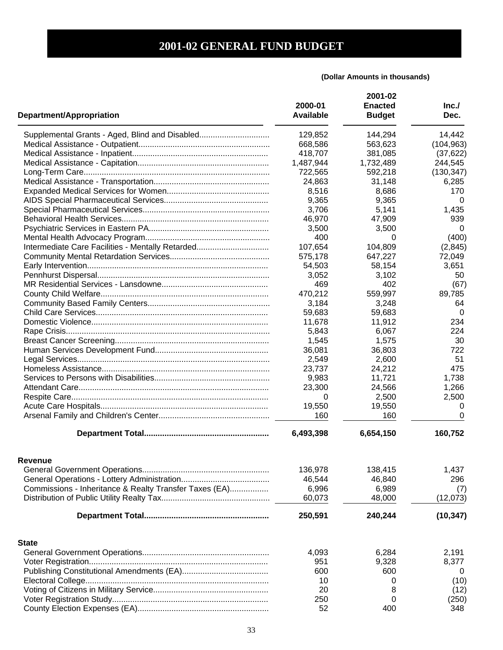| <b>Department/Appropriation</b>                        | 2000-01<br><b>Available</b> | 2001-02<br><b>Enacted</b><br><b>Budget</b> | Inc.<br>Dec. |
|--------------------------------------------------------|-----------------------------|--------------------------------------------|--------------|
| Supplemental Grants - Aged, Blind and Disabled         | 129,852                     | 144,294                                    | 14,442       |
|                                                        | 668,586                     | 563,623                                    | (104, 963)   |
|                                                        | 418,707                     | 381,085                                    | (37, 622)    |
|                                                        | 1,487,944                   | 1,732,489                                  | 244,545      |
|                                                        | 722,565                     | 592,218                                    | (130, 347)   |
|                                                        | 24,863                      | 31,148                                     | 6,285        |
|                                                        | 8,516                       | 8,686                                      | 170          |
|                                                        | 9,365                       | 9,365                                      | 0            |
|                                                        | 3,706                       | 5,141                                      | 1,435        |
|                                                        | 46,970                      | 47,909                                     | 939          |
|                                                        | 3,500                       | 3,500                                      | 0            |
|                                                        | 400                         | 0                                          | (400)        |
|                                                        |                             |                                            |              |
| Intermediate Care Facilities - Mentally Retarded       | 107,654                     | 104,809                                    | (2,845)      |
|                                                        | 575,178                     | 647,227                                    | 72,049       |
|                                                        | 54,503                      | 58,154                                     | 3,651        |
|                                                        | 3,052                       | 3,102                                      | 50           |
|                                                        | 469                         | 402                                        | (67)         |
|                                                        | 470,212                     | 559,997                                    | 89,785       |
|                                                        | 3,184                       | 3,248                                      | 64           |
|                                                        | 59,683                      | 59,683                                     | 0            |
|                                                        | 11,678                      | 11,912                                     | 234          |
|                                                        | 5,843                       | 6,067                                      | 224          |
|                                                        | 1,545                       | 1,575                                      | 30           |
|                                                        | 36,081                      | 36,803                                     | 722          |
|                                                        | 2,549                       | 2,600                                      | 51           |
|                                                        | 23,737                      | 24,212                                     | 475          |
|                                                        | 9,983                       | 11,721                                     | 1,738        |
|                                                        | 23,300                      | 24,566                                     | 1,266        |
|                                                        | 0                           | 2,500                                      | 2,500        |
|                                                        | 19,550                      | 19,550                                     | 0            |
|                                                        | 160                         | 160                                        | $\Omega$     |
|                                                        | 6,493,398                   | 6,654,150                                  | 160,752      |
| Revenue                                                |                             |                                            |              |
|                                                        | 136,978                     | 138,415                                    | 1,437        |
|                                                        | 46,544                      | 46,840                                     | 296          |
| Commissions - Inheritance & Realty Transfer Taxes (EA) | 6,996                       | 6,989                                      | (7)          |
|                                                        | 60,073                      | 48,000                                     | (12, 073)    |
|                                                        | 250,591                     | 240,244                                    | (10, 347)    |
| <b>State</b>                                           |                             |                                            |              |
|                                                        | 4,093                       | 6,284                                      | 2,191        |
|                                                        | 951                         | 9,328                                      | 8,377        |
|                                                        | 600                         | 600                                        | 0            |
|                                                        | 10                          | 0                                          | (10)         |
|                                                        | 20                          | 8                                          | (12)         |
|                                                        | 250                         | 0                                          | (250)        |
|                                                        | 52                          | 400                                        | 348          |
|                                                        |                             |                                            |              |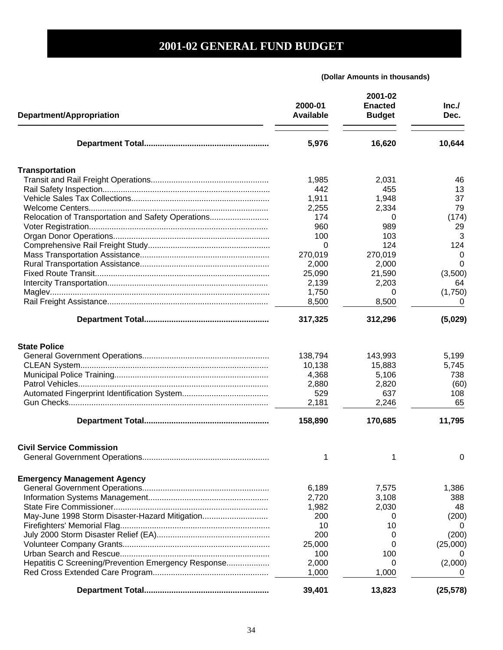| Department/Appropriation                            | 2000-01<br><b>Available</b> | 2001-02<br><b>Enacted</b><br><b>Budget</b> | Inc.<br>Dec. |
|-----------------------------------------------------|-----------------------------|--------------------------------------------|--------------|
|                                                     | 5,976                       | 16,620                                     | 10,644       |
| <b>Transportation</b>                               |                             |                                            |              |
|                                                     | 1,985                       | 2,031                                      | 46           |
|                                                     | 442                         | 455                                        | 13           |
|                                                     | 1,911                       | 1,948                                      | 37           |
|                                                     | 2,255                       | 2,334                                      | 79           |
| Relocation of Transportation and Safety Operations  | 174                         | 0                                          | (174)        |
|                                                     | 960                         | 989                                        | 29           |
|                                                     | 100                         | 103                                        | 3            |
|                                                     | 0                           | 124                                        | 124          |
|                                                     | 270,019                     | 270,019                                    | 0            |
|                                                     | 2,000                       | 2,000                                      | 0            |
|                                                     | 25,090                      | 21,590                                     | (3,500)      |
|                                                     | 2,139                       | 2,203                                      | 64           |
|                                                     | 1,750                       | 0                                          | (1,750)      |
|                                                     | 8,500                       | 8,500                                      | O            |
|                                                     | 317,325                     | 312,296                                    | (5,029)      |
| <b>State Police</b>                                 |                             |                                            |              |
|                                                     | 138,794                     | 143,993                                    | 5,199        |
|                                                     | 10,138                      | 15,883                                     | 5,745        |
|                                                     | 4,368                       | 5,106                                      | 738          |
| Patrol Vehicles                                     | 2,880                       | 2,820                                      | (60)         |
|                                                     | 529                         | 637                                        | 108          |
|                                                     | 2,181                       | 2,246                                      | 65           |
|                                                     |                             |                                            |              |
|                                                     | 158,890                     | 170,685                                    | 11,795       |
| <b>Civil Service Commission</b>                     |                             |                                            |              |
|                                                     | 1                           | 1                                          | 0            |
| <b>Emergency Management Agency</b>                  |                             |                                            |              |
|                                                     | 6,189                       | 7,575                                      | 1,386        |
|                                                     | 2,720                       | 3,108                                      | 388          |
|                                                     | 1,982                       | 2,030                                      | 48           |
| May-June 1998 Storm Disaster-Hazard Mitigation      | 200                         | 0                                          | (200)        |
|                                                     | 10                          | 10                                         | 0            |
|                                                     | 200                         | 0                                          | (200)        |
|                                                     | 25,000                      | 0                                          | (25,000)     |
|                                                     | 100                         | 100                                        |              |
| Hepatitis C Screening/Prevention Emergency Response | 2,000                       | 0                                          | (2,000)      |
|                                                     | 1,000                       | 1,000                                      |              |
|                                                     | 39,401                      | 13,823                                     | (25, 578)    |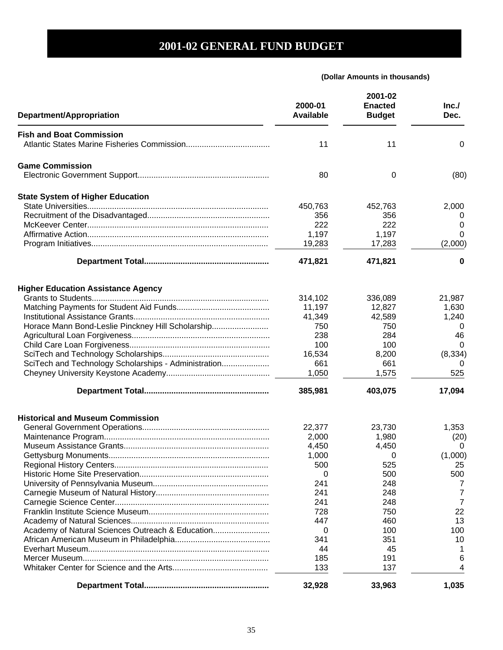| Department/Appropriation                             | 2000-01<br><b>Available</b> | 2001-02<br><b>Enacted</b><br><b>Budget</b> | Inc.<br>Dec. |
|------------------------------------------------------|-----------------------------|--------------------------------------------|--------------|
| <b>Fish and Boat Commission</b>                      |                             |                                            |              |
|                                                      | 11                          | 11                                         | 0            |
| <b>Game Commission</b>                               |                             |                                            |              |
|                                                      | 80                          | 0                                          | (80)         |
| <b>State System of Higher Education</b>              |                             |                                            |              |
|                                                      | 450,763                     | 452,763                                    | 2,000        |
|                                                      | 356                         | 356                                        | 0            |
|                                                      | 222                         | 222                                        | 0            |
|                                                      | 1,197                       | 1,197                                      | 0            |
|                                                      | 19,283                      | 17,283                                     | (2,000)      |
|                                                      | 471,821                     | 471,821                                    | 0            |
| <b>Higher Education Assistance Agency</b>            |                             |                                            |              |
|                                                      | 314,102                     | 336,089                                    | 21,987       |
|                                                      | 11,197                      | 12,827                                     | 1,630        |
|                                                      | 41,349                      | 42,589                                     | 1,240        |
| Horace Mann Bond-Leslie Pinckney Hill Scholarship    | 750                         | 750                                        | 0            |
|                                                      | 238                         | 284                                        | 46           |
|                                                      |                             |                                            |              |
|                                                      | 100                         | 100                                        | 0            |
|                                                      | 16,534                      | 8,200                                      | (8, 334)     |
| SciTech and Technology Scholarships - Administration | 661                         | 661                                        | 0            |
|                                                      | 1,050                       | 1,575                                      | 525          |
|                                                      | 385,981                     | 403,075                                    | 17,094       |
| <b>Historical and Museum Commission</b>              |                             |                                            |              |
|                                                      | 22,377                      | 23,730                                     | 1,353        |
|                                                      | 2,000                       | 1,980                                      | (20)         |
|                                                      | 4,450                       | 4,450                                      | 0            |
|                                                      | 1,000                       | 0                                          | (1,000)      |
|                                                      | 500                         | 525                                        | 25           |
|                                                      | 0                           | 500                                        | 500          |
|                                                      | 241                         | 248                                        | 7            |
|                                                      | 241                         | 248                                        | 7            |
|                                                      | 241                         | 248                                        | 7            |
|                                                      | 728                         | 750                                        | 22           |
|                                                      | 447                         | 460                                        | 13           |
| Academy of Natural Sciences Outreach & Education     | 0                           | 100                                        | 100          |
|                                                      | 341                         | 351                                        | 10           |
|                                                      | 44                          | 45                                         |              |
|                                                      | 185                         | 191                                        | 6            |
|                                                      | 133                         | 137                                        | 4            |
|                                                      | 32,928                      | 33,963                                     | 1,035        |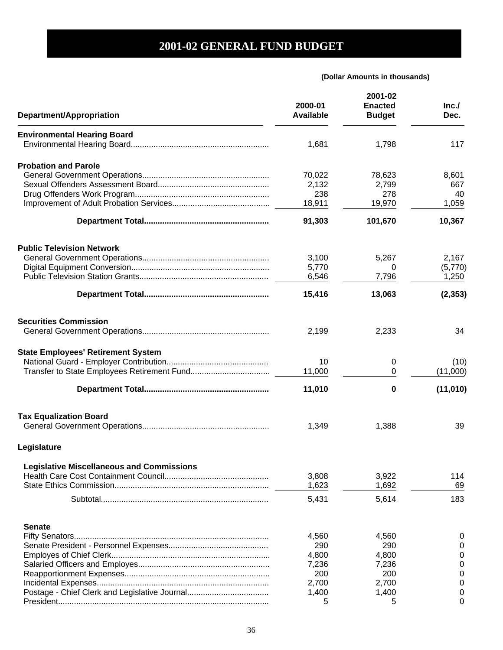| Department/Appropriation                         | 2000-01<br><b>Available</b> | 2001-02<br><b>Enacted</b><br><b>Budget</b> | Inc.<br>Dec. |
|--------------------------------------------------|-----------------------------|--------------------------------------------|--------------|
| <b>Environmental Hearing Board</b>               |                             |                                            |              |
|                                                  | 1,681                       | 1,798                                      | 117          |
| <b>Probation and Parole</b>                      |                             |                                            |              |
|                                                  | 70,022                      | 78,623                                     | 8,601        |
|                                                  | 2,132                       | 2,799                                      | 667          |
|                                                  | 238                         | 278                                        | 40           |
|                                                  | 18,911                      | 19,970                                     | 1,059        |
|                                                  | 91,303                      | 101,670                                    | 10,367       |
| <b>Public Television Network</b>                 |                             |                                            |              |
|                                                  | 3,100                       | 5,267                                      | 2,167        |
|                                                  | 5,770                       | 0                                          | (5,770)      |
|                                                  | 6,546                       | 7,796                                      | 1,250        |
|                                                  |                             |                                            |              |
|                                                  | 15,416                      | 13,063                                     | (2, 353)     |
| <b>Securities Commission</b>                     |                             |                                            |              |
|                                                  | 2,199                       | 2,233                                      | 34           |
| <b>State Employees' Retirement System</b>        |                             |                                            |              |
|                                                  | 10                          | 0                                          | (10)         |
|                                                  | 11,000                      | 0                                          | (11,000)     |
|                                                  | 11,010                      | 0                                          | (11, 010)    |
| <b>Tax Equalization Board</b>                    |                             |                                            |              |
|                                                  | 1,349                       | 1,388                                      | 39           |
| Legislature                                      |                             |                                            |              |
| <b>Legislative Miscellaneous and Commissions</b> |                             |                                            |              |
|                                                  | 3,808                       | 3,922                                      | 114          |
|                                                  | 1,623                       | 1,692                                      | 69           |
|                                                  | 5,431                       | 5,614                                      | 183          |
| <b>Senate</b>                                    |                             |                                            |              |
|                                                  | 4,560                       | 4,560                                      | 0            |
|                                                  | 290                         | 290                                        | 0            |
|                                                  | 4,800                       | 4,800                                      | 0            |
|                                                  | 7,236                       | 7,236                                      | 0            |
|                                                  | 200                         | 200                                        | 0            |
|                                                  | 2,700                       | 2,700                                      | 0            |
|                                                  | 1,400                       | 1,400                                      | 0            |
|                                                  | 5                           | 5                                          | 0            |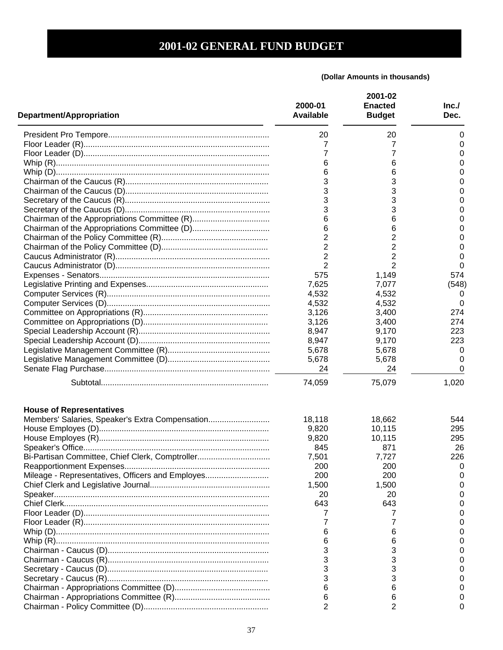| <b>Department/Appropriation</b>                  | 2000-01<br><b>Available</b> | 2001-02<br><b>Enacted</b><br><b>Budget</b> | Inc.<br>Dec. |
|--------------------------------------------------|-----------------------------|--------------------------------------------|--------------|
|                                                  | 20                          | 20                                         | 0            |
|                                                  | 7                           | 7                                          | 0            |
|                                                  | 7                           | 7                                          | 0            |
|                                                  | 6                           | 6                                          | 0            |
|                                                  | 6                           | 6                                          | 0            |
|                                                  | 3                           | 3                                          | 0            |
|                                                  | 3                           | 3                                          | 0            |
|                                                  | 3                           | 3                                          | 0            |
|                                                  | 3                           | 3                                          | 0            |
|                                                  |                             |                                            |              |
|                                                  | 6                           | 6                                          | 0            |
|                                                  | 6                           | 6                                          | 0            |
|                                                  | 2                           | 2                                          | 0            |
|                                                  | 2                           | 2                                          | 0            |
|                                                  | 2                           | 2                                          | 0            |
|                                                  | $\overline{2}$              | 2                                          | 0            |
|                                                  | 575                         | 1,149                                      | 574          |
|                                                  | 7,625                       | 7,077                                      | (548)        |
|                                                  | 4,532                       | 4,532                                      | 0            |
|                                                  | 4,532                       | 4,532                                      | 0            |
|                                                  | 3,126                       | 3,400                                      | 274          |
|                                                  | 3,126                       | 3,400                                      | 274          |
|                                                  | 8,947                       | 9,170                                      | 223          |
|                                                  | 8,947                       | 9,170                                      | 223          |
|                                                  | 5,678                       | 5,678                                      | 0            |
|                                                  | 5,678                       | 5,678                                      | 0            |
|                                                  | 24                          | 24                                         | 0            |
|                                                  | 74,059                      | 75,079                                     | 1,020        |
| <b>House of Representatives</b>                  |                             |                                            |              |
| Members' Salaries, Speaker's Extra Compensation  | 18,118                      | 18,662                                     | 544          |
|                                                  | 9,820                       | 10,115                                     | 295          |
|                                                  | 9,820                       | 10,115                                     | 295          |
|                                                  | 845                         | 871                                        | 26           |
| Bi-Partisan Committee, Chief Clerk, Comptroller  | 7,501                       | 7,727                                      | 226          |
|                                                  | 200                         | 200                                        | 0            |
| Mileage - Representatives, Officers and Employes | 200                         | 200                                        |              |
|                                                  | 1,500                       | 1,500                                      |              |
|                                                  | 20                          | 20                                         |              |
|                                                  | 643                         | 643                                        |              |
|                                                  |                             |                                            |              |
|                                                  |                             |                                            |              |
|                                                  |                             | 6                                          |              |
|                                                  |                             | 6                                          |              |
|                                                  |                             | 3                                          |              |
|                                                  |                             |                                            |              |
|                                                  |                             | 3                                          |              |
|                                                  |                             |                                            |              |
|                                                  |                             |                                            |              |
|                                                  |                             | 6                                          |              |
|                                                  | 6                           | 6                                          |              |
|                                                  |                             | 2                                          | O            |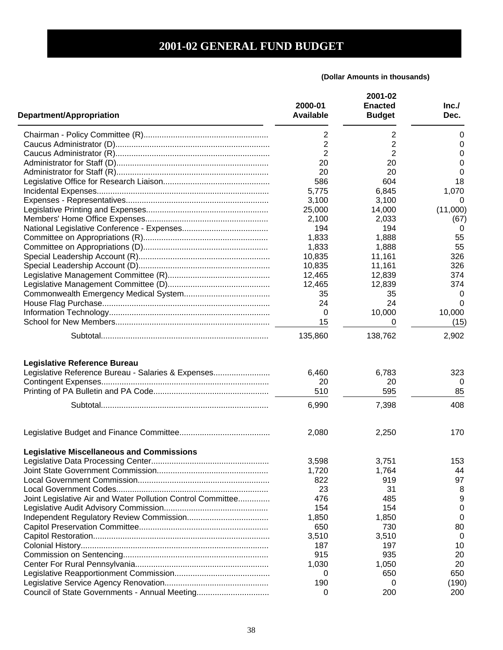| Department/Appropriation                                    | 2000-01<br><b>Available</b> | 2001-02<br><b>Enacted</b><br><b>Budget</b> | Inc.<br>Dec. |
|-------------------------------------------------------------|-----------------------------|--------------------------------------------|--------------|
|                                                             | 2                           | 2                                          | 0            |
|                                                             | $\overline{2}$              | 2                                          | 0            |
|                                                             | 2                           | $\overline{2}$                             | 0            |
|                                                             | 20                          | 20                                         | 0            |
|                                                             | 20                          | 20                                         | 0            |
|                                                             | 586                         | 604                                        | 18           |
|                                                             | 5,775                       | 6,845                                      | 1,070        |
|                                                             | 3,100                       | 3,100                                      | 0            |
|                                                             | 25,000                      | 14,000                                     | (11,000)     |
|                                                             | 2,100                       | 2,033                                      | (67)         |
|                                                             | 194                         | 194                                        | 0            |
|                                                             | 1,833                       | 1,888                                      | 55           |
|                                                             | 1,833                       | 1,888                                      | 55           |
|                                                             | 10,835                      | 11,161                                     | 326          |
|                                                             | 10,835                      | 11,161                                     | 326          |
|                                                             | 12,465                      | 12,839                                     | 374          |
|                                                             | 12,465                      | 12,839                                     | 374          |
|                                                             | 35                          | 35                                         | 0            |
|                                                             | 24                          | 24                                         | 0            |
|                                                             | 0                           | 10,000                                     | 10,000       |
|                                                             | 15                          | 0                                          | (15)         |
|                                                             | 135,860                     | 138,762                                    | 2,902        |
| <b>Legislative Reference Bureau</b>                         |                             |                                            |              |
| Legislative Reference Bureau - Salaries & Expenses          | 6,460                       | 6,783                                      | 323          |
|                                                             | 20                          | 20                                         | $\theta$     |
|                                                             | 510                         | 595                                        | 85           |
|                                                             |                             |                                            | 408          |
|                                                             | 6,990                       | 7,398                                      |              |
|                                                             | 2,080                       | 2,250                                      | 170          |
| <b>Legislative Miscellaneous and Commissions</b>            |                             |                                            |              |
|                                                             | 3,598                       | 3,751                                      | 153          |
|                                                             | 1,720                       | 1,764                                      | 44           |
|                                                             | 822                         | 919                                        | 97           |
|                                                             | 23                          | 31                                         | 8            |
| Joint Legislative Air and Water Pollution Control Committee | 476                         | 485                                        | 9            |
|                                                             | 154                         | 154                                        | 0            |
|                                                             | 1,850                       | 1,850                                      | 0            |
|                                                             | 650                         | 730                                        | 80           |
|                                                             | 3,510                       | 3,510                                      | 0            |
|                                                             | 187                         | 197                                        | 10           |
|                                                             | 915                         | 935                                        | 20           |
|                                                             | 1,030                       | 1,050                                      | 20           |
|                                                             | 0                           | 650                                        | 650          |
|                                                             | 190                         | 0                                          | (190)        |
| Council of State Governments - Annual Meeting               | 0                           | 200                                        | 200          |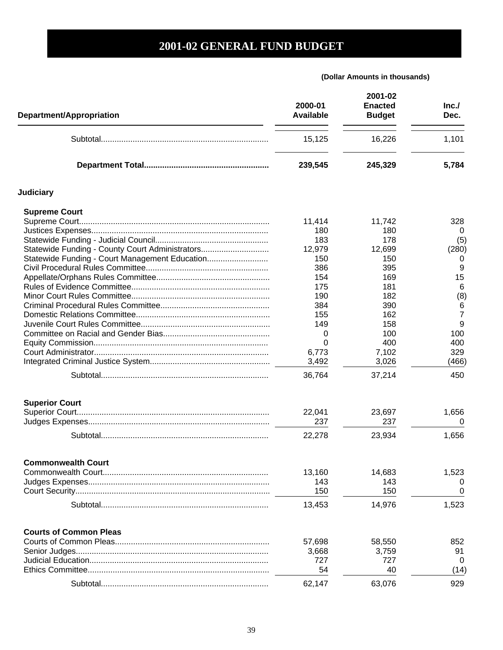| Department/Appropriation                        | 2000-01<br><b>Available</b> | 2001-02<br><b>Enacted</b><br><b>Budget</b> | Inc.<br>Dec.   |
|-------------------------------------------------|-----------------------------|--------------------------------------------|----------------|
|                                                 | 15,125                      | 16,226                                     | 1,101          |
|                                                 | 239,545                     | 245,329                                    | 5,784          |
| <b>Judiciary</b>                                |                             |                                            |                |
| <b>Supreme Court</b>                            |                             |                                            |                |
|                                                 | 11,414                      | 11,742                                     | 328            |
|                                                 | 180                         | 180                                        | 0              |
|                                                 | 183                         | 178                                        | (5)            |
| Statewide Funding - County Court Administrators | 12,979                      | 12,699                                     | (280)          |
| Statewide Funding - Court Management Education  | 150                         | 150                                        | 0              |
|                                                 | 386                         | 395                                        | 9              |
|                                                 | 154                         | 169                                        | 15             |
|                                                 | 175                         | 181                                        | 6              |
|                                                 | 190                         | 182                                        | (8)            |
|                                                 | 384                         | 390                                        | 6              |
|                                                 | 155                         | 162                                        | $\overline{7}$ |
|                                                 | 149                         | 158                                        | 9              |
|                                                 | 0                           | 100                                        | 100            |
|                                                 | 0                           | 400                                        | 400            |
|                                                 | 6,773                       | 7,102                                      | 329            |
|                                                 | 3,492                       | 3,026                                      | (466)          |
|                                                 | 36,764                      | 37,214                                     | 450            |
|                                                 |                             |                                            |                |
| <b>Superior Court</b>                           |                             |                                            |                |
|                                                 | 22,041                      | 23,697                                     | 1,656          |
|                                                 | 237                         | 237                                        | 0              |
|                                                 | 22,278                      | 23,934                                     | 1,656          |
| <b>Commonwealth Court</b>                       |                             |                                            |                |
|                                                 | 13,160                      | 14,683                                     | 1,523          |
|                                                 | 143                         | 143                                        | O              |
|                                                 | 150                         | 150                                        | 0              |
|                                                 | 13,453                      | 14,976                                     | 1,523          |
| <b>Courts of Common Pleas</b>                   |                             |                                            |                |
|                                                 |                             |                                            |                |
|                                                 | 57,698<br>3,668             | 58,550<br>3,759                            | 852<br>91      |
|                                                 | 727                         | 727                                        | 0              |
|                                                 |                             |                                            |                |
|                                                 | 54                          | 40                                         | (14)           |
|                                                 | 62,147                      | 63,076                                     | 929            |